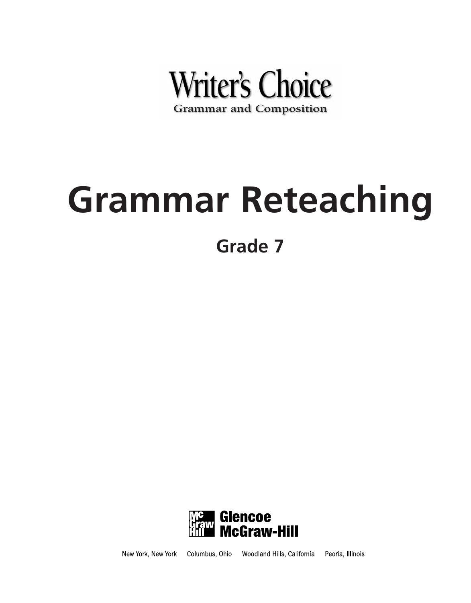

# **Grammar Reteaching**

**Grade 7**



Columbus, Ohio Woodland Hills, California Peoria, Illinois New York, New York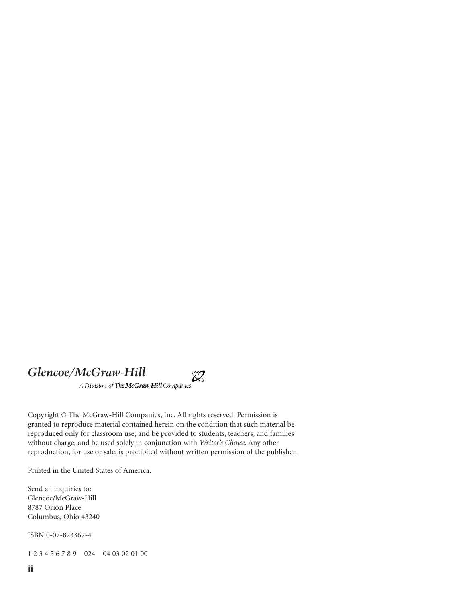### *Glencoe/McGraw-Hill*

A Division of The McGraw Hill Companies

Copyright © The McGraw-Hill Companies, Inc. All rights reserved. Permission is granted to reproduce material contained herein on the condition that such material be reproduced only for classroom use; and be provided to students, teachers, and families without charge; and be used solely in conjunction with *Writer's Choice*. Any other reproduction, for use or sale, is prohibited without written permission of the publisher.

 $\hat{\mathbb{X}}$ 

Printed in the United States of America.

Send all inquiries to: Glencoe/McGraw-Hill 8787 Orion Place Columbus, Ohio 43240

ISBN 0-07-823367-4

1 2 3 4 5 6 7 8 9 024 04 03 02 01 00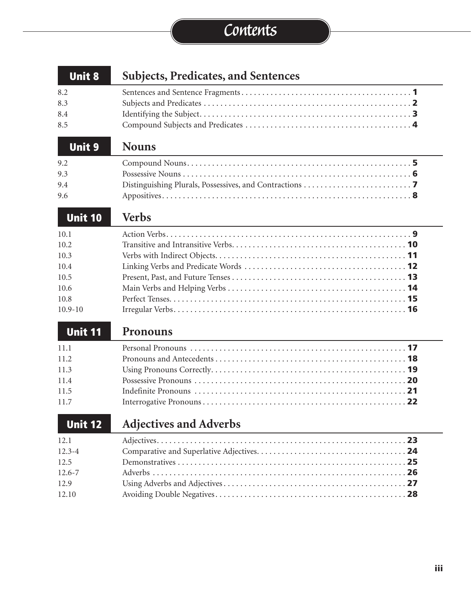# **Contents**

| <b>Unit 8</b>  | <b>Subjects, Predicates, and Sentences</b> |
|----------------|--------------------------------------------|
| 8.2            |                                            |
| 8.3            |                                            |
| 8.4            |                                            |
| 8.5            |                                            |
| <b>Unit 9</b>  | <b>Nouns</b>                               |
| 9.2            |                                            |
| 9.3            |                                            |
| 9.4            |                                            |
| 9.6            |                                            |
| <b>Unit 10</b> | <b>Verbs</b>                               |
| 10.1           |                                            |
| 10.2           |                                            |
| 10.3           |                                            |
| 10.4           |                                            |
| 10.5           |                                            |
| 10.6           |                                            |
| 10.8           |                                            |
| $10.9 - 10$    |                                            |
| <b>Unit 11</b> | Pronouns                                   |
| 11.1           |                                            |
| 11.2           |                                            |
| 11.3           |                                            |
| 11.4           |                                            |
| 11.5           |                                            |
| 11.7           |                                            |
| <b>Unit 12</b> | <b>Adjectives and Adverbs</b>              |
| 12.1           |                                            |
| $12.3 - 4$     |                                            |
| 12.5           |                                            |
| $12.6 - 7$     |                                            |
| 12.9           |                                            |
| 12.10          |                                            |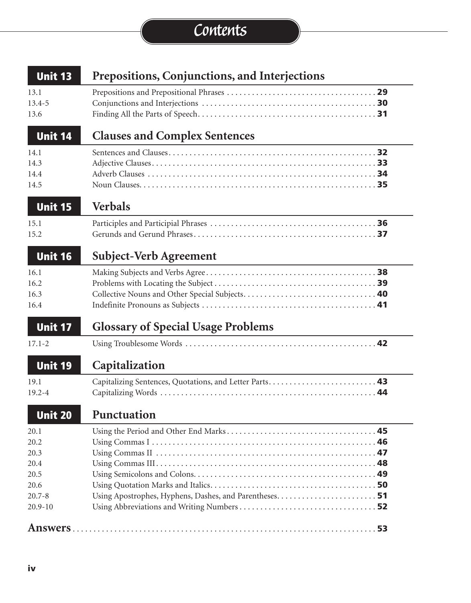# **Contents**

| <b>Unit 13</b>                                                            | Prepositions, Conjunctions, and Interjections |
|---------------------------------------------------------------------------|-----------------------------------------------|
| 13.1<br>$13.4 - 5$<br>13.6                                                |                                               |
| <b>Unit 14</b>                                                            | <b>Clauses and Complex Sentences</b>          |
| 14.1<br>14.3<br>14.4<br>14.5                                              | 32                                            |
| Unit 15                                                                   | <b>Verbals</b>                                |
| 15.1<br>15.2                                                              |                                               |
| <b>Unit 16</b>                                                            | <b>Subject-Verb Agreement</b>                 |
| 16.1<br>16.2<br>16.3<br>16.4                                              |                                               |
| Unit 17                                                                   | <b>Glossary of Special Usage Problems</b>     |
| $17.1 - 2$                                                                |                                               |
| <b>Unit 19</b>                                                            | Capitalization                                |
| 19.1<br>$19.2 - 4$                                                        |                                               |
| <b>Unit 20</b>                                                            | <b>Punctuation</b>                            |
| 20.1<br>20.2<br>20.3<br>20.4<br>20.5<br>20.6<br>$20.7 - 8$<br>$20.9 - 10$ |                                               |
|                                                                           |                                               |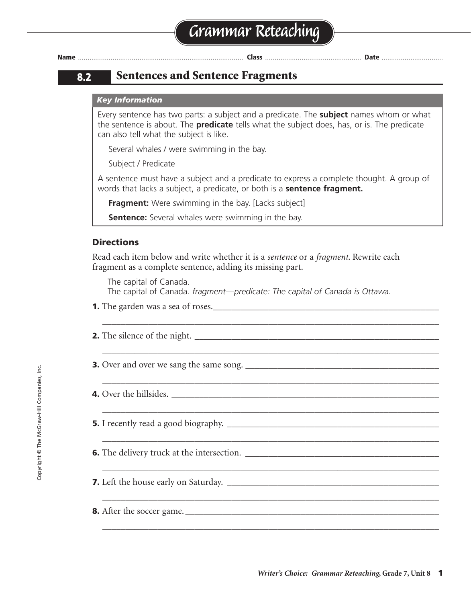### **8.2 Sentences and Sentence Fragments**

#### *Key Information*

Every sentence has two parts: a subject and a predicate. The **subject** names whom or what the sentence is about. The **predicate** tells what the subject does, has, or is. The predicate can also tell what the subject is like.

Several whales / were swimming in the bay.

Subject / Predicate

A sentence must have a subject and a predicate to express a complete thought. A group of words that lacks a subject, a predicate, or both is a **sentence fragment.**

**Fragment:** Were swimming in the bay. [Lacks subject]

**Sentence:** Several whales were swimming in the bay.

#### **Directions**

Read each item below and write whether it is a *sentence* or a *fragment*. Rewrite each fragment as a complete sentence, adding its missing part.

The capital of Canada. The capital of Canada. *fragment—predicate: The capital of Canada is Ottawa.*

\_\_\_\_\_\_\_\_\_\_\_\_\_\_\_\_\_\_\_\_\_\_\_\_\_\_\_\_\_\_\_\_\_\_\_\_\_\_\_\_\_\_\_\_\_\_\_\_\_\_\_\_\_\_\_\_\_\_\_\_\_\_\_\_\_\_\_\_\_\_\_\_\_

\_\_\_\_\_\_\_\_\_\_\_\_\_\_\_\_\_\_\_\_\_\_\_\_\_\_\_\_\_\_\_\_\_\_\_\_\_\_\_\_\_\_\_\_\_\_\_\_\_\_\_\_\_\_\_\_\_\_\_\_\_\_\_\_\_\_\_\_\_\_\_\_\_

\_\_\_\_\_\_\_\_\_\_\_\_\_\_\_\_\_\_\_\_\_\_\_\_\_\_\_\_\_\_\_\_\_\_\_\_\_\_\_\_\_\_\_\_\_\_\_\_\_\_\_\_\_\_\_\_\_\_\_\_\_\_\_\_\_\_\_\_\_\_\_\_\_

\_\_\_\_\_\_\_\_\_\_\_\_\_\_\_\_\_\_\_\_\_\_\_\_\_\_\_\_\_\_\_\_\_\_\_\_\_\_\_\_\_\_\_\_\_\_\_\_\_\_\_\_\_\_\_\_\_\_\_\_\_\_\_\_\_\_\_\_\_\_\_\_\_

\_\_\_\_\_\_\_\_\_\_\_\_\_\_\_\_\_\_\_\_\_\_\_\_\_\_\_\_\_\_\_\_\_\_\_\_\_\_\_\_\_\_\_\_\_\_\_\_\_\_\_\_\_\_\_\_\_\_\_\_\_\_\_\_\_\_\_\_\_\_\_\_\_

\_\_\_\_\_\_\_\_\_\_\_\_\_\_\_\_\_\_\_\_\_\_\_\_\_\_\_\_\_\_\_\_\_\_\_\_\_\_\_\_\_\_\_\_\_\_\_\_\_\_\_\_\_\_\_\_\_\_\_\_\_\_\_\_\_\_\_\_\_\_\_\_\_

\_\_\_\_\_\_\_\_\_\_\_\_\_\_\_\_\_\_\_\_\_\_\_\_\_\_\_\_\_\_\_\_\_\_\_\_\_\_\_\_\_\_\_\_\_\_\_\_\_\_\_\_\_\_\_\_\_\_\_\_\_\_\_\_\_\_\_\_\_\_\_\_\_

\_\_\_\_\_\_\_\_\_\_\_\_\_\_\_\_\_\_\_\_\_\_\_\_\_\_\_\_\_\_\_\_\_\_\_\_\_\_\_\_\_\_\_\_\_\_\_\_\_\_\_\_\_\_\_\_\_\_\_\_\_\_\_\_\_\_\_\_\_\_\_\_\_

- **1.** The garden was a sea of roses.
- **2.** The silence of the night. \_\_\_\_\_\_\_\_\_\_\_\_\_\_\_\_\_\_\_\_\_\_\_\_\_\_\_\_\_\_\_\_\_\_\_\_\_\_\_\_\_\_\_\_\_\_\_\_\_\_\_\_\_

**3.** Over and over we sang the same song. \_\_\_\_\_\_\_\_\_\_\_\_\_\_\_\_\_\_\_\_\_\_\_\_\_\_\_\_\_\_\_\_\_\_\_\_\_\_\_\_\_\_

**4.** Over the hillsides.

**5.** I recently read a good biography. \_\_\_\_\_\_\_\_\_\_\_\_\_\_\_\_\_\_\_\_\_\_\_\_\_\_\_\_\_\_\_\_\_\_\_\_\_\_\_\_\_\_\_\_\_\_

**6.** The delivery truck at the intersection. \_\_\_\_\_\_\_\_\_\_\_\_\_\_\_\_\_\_\_\_\_\_\_\_\_\_\_\_\_\_\_\_\_\_\_\_\_\_\_\_\_\_

- **7.** Left the house early on Saturday. \_\_\_\_\_\_\_\_\_\_\_\_\_\_\_\_\_\_\_\_\_\_\_\_\_\_\_\_\_\_\_\_\_\_\_\_\_\_\_\_\_\_\_\_\_\_
- **8.** After the soccer game. \_\_\_\_\_\_\_\_\_\_\_\_\_\_\_\_\_\_\_\_\_\_\_\_\_\_\_\_\_\_\_\_\_\_\_\_\_\_\_\_\_\_\_\_\_\_\_\_\_\_\_\_\_\_\_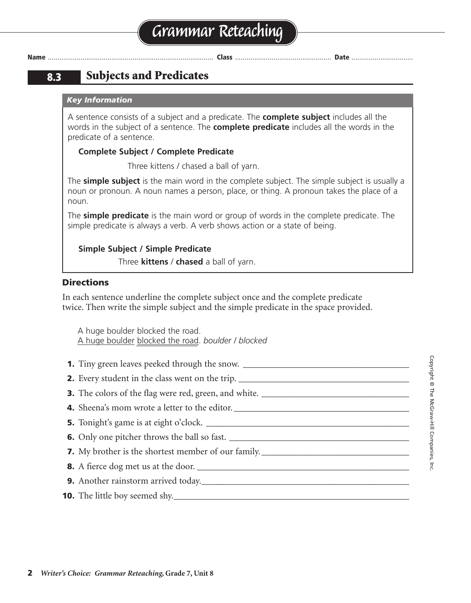### **8.3 Subjects and Predicates**

#### *Key Information*

A sentence consists of a subject and a predicate. The **complete subject** includes all the words in the subject of a sentence. The **complete predicate** includes all the words in the predicate of a sentence.

#### **Complete Subject / Complete Predicate**

Three kittens / chased a ball of yarn.

The **simple subject** is the main word in the complete subject. The simple subject is usually a noun or pronoun. A noun names a person, place, or thing. A pronoun takes the place of a noun.

The **simple predicate** is the main word or group of words in the complete predicate. The simple predicate is always a verb. A verb shows action or a state of being.

#### **Simple Subject / Simple Predicate**

Three **kittens** / **chased** a ball of yarn.

#### **Directions**

In each sentence underline the complete subject once and the complete predicate twice. Then write the simple subject and the simple predicate in the space provided.

A huge boulder blocked the road. A huge boulder blocked the road. *boulder / blocked*

| 1. Tiny green leaves peeked through the snow. __________________________________  |
|-----------------------------------------------------------------------------------|
| 2. Every student in the class went on the trip. _________________________________ |
|                                                                                   |
|                                                                                   |
|                                                                                   |
|                                                                                   |
|                                                                                   |
|                                                                                   |
| 9. Another rainstorm arrived today.                                               |
|                                                                                   |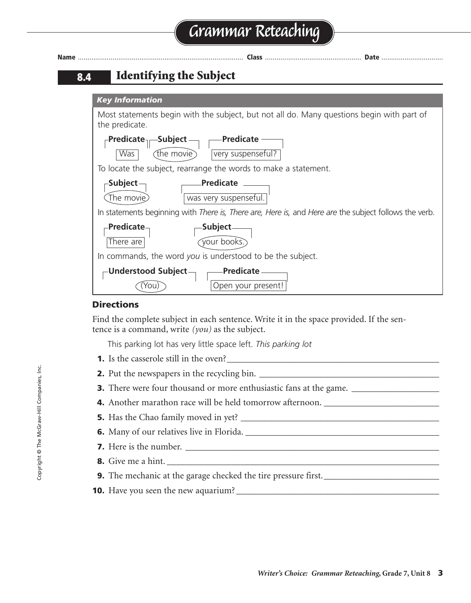# **Grammar Reteaching**

| <b>Name</b> | Class<br><b>Date</b>                                                                                                           |
|-------------|--------------------------------------------------------------------------------------------------------------------------------|
| 8.4         | <b>Identifying the Subject</b>                                                                                                 |
|             | <b>Key Information</b>                                                                                                         |
|             | Most statements begin with the subject, but not all do. Many questions begin with part of<br>the predicate.                    |
|             | - Predicate -<br>$_\sqsubset$ Predicate $_{\lvert \sqsubset}$ -Subject $_\sqsubset$<br>very suspenseful?<br>Was<br>(the movie) |
|             | To locate the subject, rearrange the words to make a statement.                                                                |
|             | $\mathsf{\scriptstyle\mathsf{\neg}Subject}$ -<br>Predicate<br>(The movie)<br>was very suspenseful.                             |
|             | In statements beginning with There is, There are, Here is, and Here are the subject follows the verb.                          |
|             | -Predicate-<br>Subject.<br>your books.<br>There are                                                                            |
|             | In commands, the word you is understood to be the subject.                                                                     |
|             | <b>Predicate</b><br>-Understood Subject –<br>Open your present!<br>YOU.                                                        |

#### **Directions**

Find the complete subject in each sentence. Write it in the space provided. If the sentence is a command, write *(you)* as the subject.

This parking lot has very little space left. *This parking lot*

- **1.** Is the casserole still in the oven?\_\_\_\_\_\_\_\_\_\_\_\_\_\_\_\_\_\_\_\_\_\_\_\_\_\_\_\_\_\_\_\_\_\_\_\_\_\_\_\_\_\_\_\_\_\_
- **2.** Put the newspapers in the recycling bin. \_\_\_\_\_\_\_\_\_\_\_\_\_\_\_\_\_\_\_\_\_\_\_\_\_\_\_\_\_\_\_\_\_\_\_\_\_\_\_
- **3.** There were four thousand or more enthusiastic fans at the game. \_\_\_\_\_\_\_\_\_\_\_\_\_\_\_\_\_\_
- **4.** Another marathon race will be held tomorrow afternoon.
- **5.** Has the Chao family moved in yet? \_\_\_\_\_\_\_\_\_\_\_\_\_\_\_\_\_\_\_\_\_\_\_\_\_\_\_\_\_\_\_\_\_\_\_\_\_\_\_\_\_\_\_
- **6.** Many of our relatives live in Florida. \_\_\_\_\_\_\_\_\_\_\_\_\_\_\_\_\_\_\_\_\_\_\_\_\_\_\_\_\_\_\_\_\_\_\_\_\_\_\_\_\_\_
- **7.** Here is the number. \_\_\_\_\_\_\_\_\_\_\_\_\_\_\_\_\_\_\_\_\_\_\_\_\_\_\_\_\_\_\_\_\_\_\_\_\_\_\_\_\_\_\_\_\_\_\_\_\_\_\_\_\_\_\_
- **8.** Give me a hint.
- **9.** The mechanic at the garage checked the tire pressure first.\_\_\_\_\_\_\_\_\_\_\_\_\_\_\_\_\_\_\_\_\_\_\_\_\_
- **10.** Have you seen the new aquarium? \_\_\_\_\_\_\_\_\_\_\_\_\_\_\_\_\_\_\_\_\_\_\_\_\_\_\_\_\_\_\_\_\_\_\_\_\_\_\_\_\_\_\_\_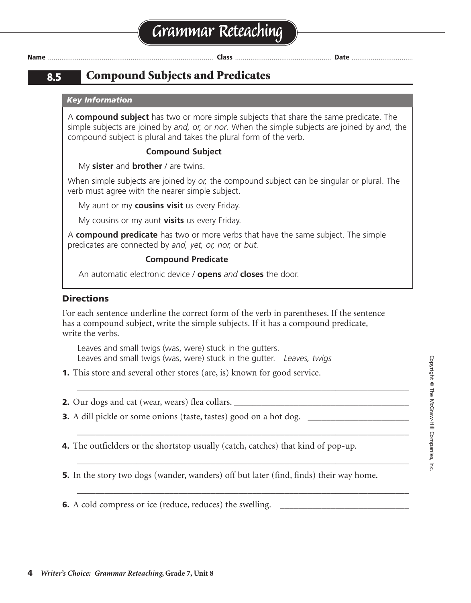### **8.5 Compound Subjects and Predicates**

#### *Key Information*

A **compound subject** has two or more simple subjects that share the same predicate. The simple subjects are joined by *and, or,* or *nor*. When the simple subjects are joined by *and,* the compound subject is plural and takes the plural form of the verb.

#### **Compound Subject**

My **sister** and **brother** / are twins.

When simple subjects are joined by *or,* the compound subject can be singular or plural. The verb must agree with the nearer simple subject.

My aunt or my **cousins visit** us every Friday.

My cousins or my aunt **visits** us every Friday.

A **compound predicate** has two or more verbs that have the same subject. The simple predicates are connected by *and, yet, or, nor,* or *but.*

#### **Compound Predicate**

An automatic electronic device / **opens** *and* **closes** the door.

#### **Directions**

For each sentence underline the correct form of the verb in parentheses. If the sentence has a compound subject, write the simple subjects. If it has a compound predicate, write the verbs.

\_\_\_\_\_\_\_\_\_\_\_\_\_\_\_\_\_\_\_\_\_\_\_\_\_\_\_\_\_\_\_\_\_\_\_\_\_\_\_\_\_\_\_\_\_\_\_\_\_\_\_\_\_\_\_\_\_\_\_\_\_\_\_\_\_\_\_\_\_\_\_\_

\_\_\_\_\_\_\_\_\_\_\_\_\_\_\_\_\_\_\_\_\_\_\_\_\_\_\_\_\_\_\_\_\_\_\_\_\_\_\_\_\_\_\_\_\_\_\_\_\_\_\_\_\_\_\_\_\_\_\_\_\_\_\_\_\_\_\_\_\_\_\_\_

\_\_\_\_\_\_\_\_\_\_\_\_\_\_\_\_\_\_\_\_\_\_\_\_\_\_\_\_\_\_\_\_\_\_\_\_\_\_\_\_\_\_\_\_\_\_\_\_\_\_\_\_\_\_\_\_\_\_\_\_\_\_\_\_\_\_\_\_\_\_\_\_

\_\_\_\_\_\_\_\_\_\_\_\_\_\_\_\_\_\_\_\_\_\_\_\_\_\_\_\_\_\_\_\_\_\_\_\_\_\_\_\_\_\_\_\_\_\_\_\_\_\_\_\_\_\_\_\_\_\_\_\_\_\_\_\_\_\_\_\_\_\_\_\_

Leaves and small twigs (was, were) stuck in the gutters. Leaves and small twigs (was, were) stuck in the gutter. *Leaves, twigs*

**1.** This store and several other stores (are, is) known for good service.

**2.** Our dogs and cat (wear, wears) flea collars.

**3.** A dill pickle or some onions (taste, tastes) good on a hot dog.

**4.** The outfielders or the shortstop usually (catch, catches) that kind of pop-up.

**5.** In the story two dogs (wander, wanders) off but later (find, finds) their way home.

**6.** A cold compress or ice (reduce, reduces) the swelling.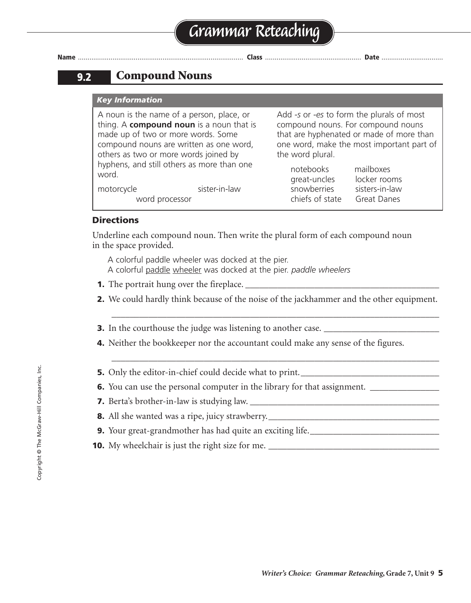**9.2 Compound Nouns**

#### *Key Information*

A noun is the name of a person, place, or thing. A **compound noun** is a noun that is made up of two or more words. Some compound nouns are written as one word, others as two or more words joined by hyphens, and still others as more than one word. motorcycle sister-in-law the word plural. notebooks mailboxes

Add *-s* or *-es* to form the plurals of most compound nouns. For compound nouns that are hyphenated or made of more than one word, make the most important part of

| LIULENUUNJ      | шаны    |
|-----------------|---------|
| great-uncles    | locker  |
| snowberries     | sisters |
| chiefs of state | Great   |
|                 |         |

rooms s-in-law Danes

#### **Directions**

Underline each compound noun. Then write the plural form of each compound noun in the space provided.

A colorful paddle wheeler was docked at the pier. A colorful paddle wheeler was docked at the pier. *paddle wheelers*

**1.** The portrait hung over the fireplace.

word processor

**2.** We could hardly think because of the noise of the jackhammer and the other equipment.

\_\_\_\_\_\_\_\_\_\_\_\_\_\_\_\_\_\_\_\_\_\_\_\_\_\_\_\_\_\_\_\_\_\_\_\_\_\_\_\_\_\_\_\_\_\_\_\_\_\_\_\_\_\_\_\_\_\_\_\_\_\_\_\_\_\_\_\_\_\_\_

\_\_\_\_\_\_\_\_\_\_\_\_\_\_\_\_\_\_\_\_\_\_\_\_\_\_\_\_\_\_\_\_\_\_\_\_\_\_\_\_\_\_\_\_\_\_\_\_\_\_\_\_\_\_\_\_\_\_\_\_\_\_\_\_\_\_\_\_\_\_\_

- **3.** In the courthouse the judge was listening to another case.
- **4.** Neither the bookkeeper nor the accountant could make any sense of the figures.
- **5.** Only the editor-in-chief could decide what to print.
- **6.** You can use the personal computer in the library for that assignment.
- **7.** Berta's brother-in-law is studying law. \_\_\_\_\_\_\_\_\_\_\_\_\_\_\_\_\_\_\_\_\_\_\_\_\_\_\_\_\_\_\_\_\_\_\_\_\_\_\_\_\_
- **8.** All she wanted was a ripe, juicy strawberry.
- **9.** Your great-grandmother has had quite an exciting life. \_\_\_\_\_\_\_\_\_\_\_\_\_\_\_\_\_\_\_\_\_\_\_\_\_\_\_
- **10.** My wheelchair is just the right size for me.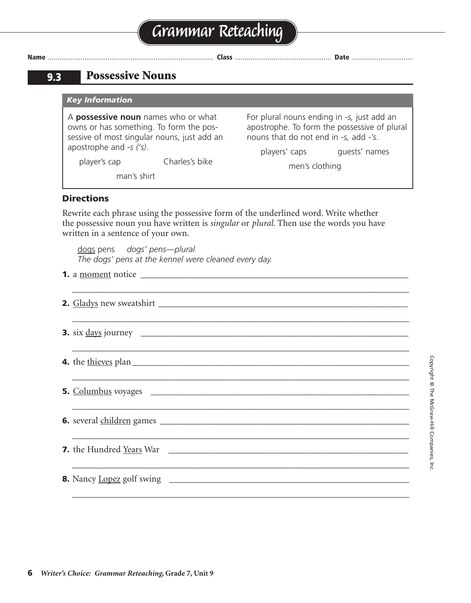|  | Grammar Reteaching |  |  |
|--|--------------------|--|--|
|--|--------------------|--|--|

### **9.3 Possessive Nouns**

*Key Information*

A **possessive noun** names who or what owns or has something. To form the possessive of most singular nouns, just add an apostrophe and *-s ('s)*.

For plural nouns ending in *-s,* just add an apostrophe. To form the possessive of plural nouns that do not end in *-s,* add *-'s*.

player's cap Charles's bike

players' caps guests' names men's clothing

man's shirt

#### **Directions**

Rewrite each phrase using the possessive form of the underlined word. Write whether the possessive noun you have written is *singular* or *plural*. Then use the words you have written in a sentence of your own.

dogs pens *dogs' pens—plural The dogs' pens at the kennel were cleaned every day.*

**1.** a moment notice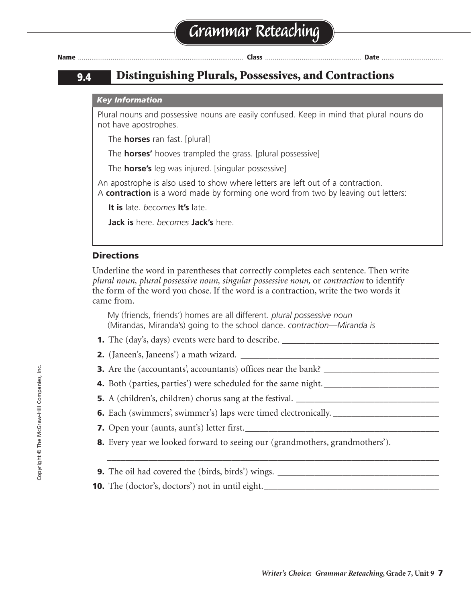

## **9.4 Distinguishing Plurals, Possessives, and Contractions**

#### *Key Information*

Plural nouns and possessive nouns are easily confused. Keep in mind that plural nouns do not have apostrophes.

The **horses** ran fast. [plural]

The **horses'** hooves trampled the grass. [plural possessive]

The **horse's** leg was injured. [singular possessive]

An apostrophe is also used to show where letters are left out of a contraction. A **contraction** is a word made by forming one word from two by leaving out letters:

**It is** late. *becomes* **It's** late.

**Jack is** here. *becomes* **Jack's** here.

### **Directions**

Underline the word in parentheses that correctly completes each sentence. Then write *plural noun, plural possessive noun, singular possessive noun,* or *contraction* to identify the form of the word you chose. If the word is a contraction, write the two words it came from.

My (friends, friends') homes are all different. *plural possessive noun* (Mirandas, Miranda's) going to the school dance. *contraction—Miranda is*

- **1.** The (day's, days) events were hard to describe.
- **2.** (Janeen's, Janeens') a math wizard.
- **3.** Are the (accountants, accountants) offices near the bank?
- **4.** Both (parties, parties') were scheduled for the same night.
- **5.** A (children's, children) chorus sang at the festival.
- **6.** Each (swimmers, swimmer's) laps were timed electronically. \_\_\_\_\_\_\_\_\_\_\_\_\_\_\_\_\_\_
- **7.** Open your (aunts, aunt's) letter first.
- **8.** Every year we looked forward to seeing our (grandmothers, grandmothers').

\_\_\_\_\_\_\_\_\_\_\_\_\_\_\_\_\_\_\_\_\_\_\_\_\_\_\_\_\_\_\_\_\_\_\_\_\_\_\_\_\_\_\_\_\_\_\_\_\_\_\_\_\_\_\_\_\_\_\_\_\_\_\_\_\_\_\_\_\_\_\_\_

- **9.** The oil had covered the (birds, birds') wings.
- **10.** The (doctor's, doctors') not in until eight.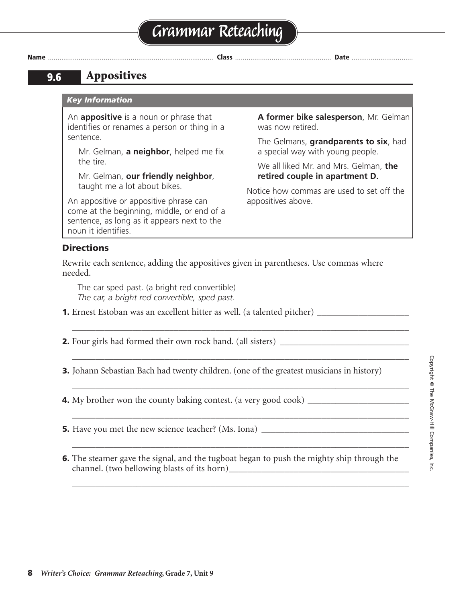### **9.6 Appositives**

#### *Key Information*

An **appositive** is a noun or phrase that identifies or renames a person or thing in a sentence.

Mr. Gelman, **a neighbor**, helped me fix the tire.

Mr. Gelman, **our friendly neighbor**, taught me a lot about bikes.

An appositive or appositive phrase can come at the beginning, middle, or end of a sentence, as long as it appears next to the noun it identifies.

**A former bike salesperson**, Mr. Gelman was now retired.

The Gelmans, **grandparents to six**, had a special way with young people.

We all liked Mr. and Mrs. Gelman, **the retired couple in apartment D.**

Notice how commas are used to set off the appositives above.

#### **Directions**

Rewrite each sentence, adding the appositives given in parentheses. Use commas where needed.

The car sped past. (a bright red convertible) *The car, a bright red convertible, sped past.*

**1.** Ernest Estoban was an excellent hitter as well. (a talented pitcher) \_\_\_\_\_\_\_\_\_\_\_\_\_\_\_\_\_\_\_\_

**2.** Four girls had formed their own rock band. (all sisters) \_\_\_\_\_\_\_\_\_\_\_\_\_\_\_\_\_\_\_\_\_\_\_\_\_

**3.** Johann Sebastian Bach had twenty children. (one of the greatest musicians in history)

\_\_\_\_\_\_\_\_\_\_\_\_\_\_\_\_\_\_\_\_\_\_\_\_\_\_\_\_\_\_\_\_\_\_\_\_\_\_\_\_\_\_\_\_\_\_\_\_\_\_\_\_\_\_\_\_\_\_\_\_\_\_\_\_\_\_\_\_\_\_\_\_\_

\_\_\_\_\_\_\_\_\_\_\_\_\_\_\_\_\_\_\_\_\_\_\_\_\_\_\_\_\_\_\_\_\_\_\_\_\_\_\_\_\_\_\_\_\_\_\_\_\_\_\_\_\_\_\_\_\_\_\_\_\_\_\_\_\_\_\_\_\_\_\_\_\_

\_\_\_\_\_\_\_\_\_\_\_\_\_\_\_\_\_\_\_\_\_\_\_\_\_\_\_\_\_\_\_\_\_\_\_\_\_\_\_\_\_\_\_\_\_\_\_\_\_\_\_\_\_\_\_\_\_\_\_\_\_\_\_\_\_\_\_\_\_\_\_\_\_

\_\_\_\_\_\_\_\_\_\_\_\_\_\_\_\_\_\_\_\_\_\_\_\_\_\_\_\_\_\_\_\_\_\_\_\_\_\_\_\_\_\_\_\_\_\_\_\_\_\_\_\_\_\_\_\_\_\_\_\_\_\_\_\_\_\_\_\_\_\_\_\_\_

\_\_\_\_\_\_\_\_\_\_\_\_\_\_\_\_\_\_\_\_\_\_\_\_\_\_\_\_\_\_\_\_\_\_\_\_\_\_\_\_\_\_\_\_\_\_\_\_\_\_\_\_\_\_\_\_\_\_\_\_\_\_\_\_\_\_\_\_\_\_\_\_\_

\_\_\_\_\_\_\_\_\_\_\_\_\_\_\_\_\_\_\_\_\_\_\_\_\_\_\_\_\_\_\_\_\_\_\_\_\_\_\_\_\_\_\_\_\_\_\_\_\_\_\_\_\_\_\_\_\_\_\_\_\_\_\_\_\_\_\_\_\_\_\_\_\_

**4.** My brother won the county baking contest. (a very good cook) \_\_\_\_\_\_\_\_\_\_\_\_\_\_\_\_\_\_\_\_

**5.** Have you met the new science teacher? (Ms. Iona)

**6.** The steamer gave the signal, and the tugboat began to push the mighty ship through the channel. (two bellowing blasts of its horn)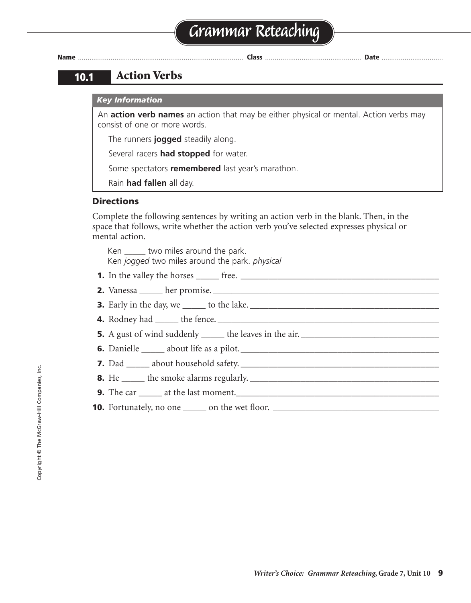# **Grammar Reteaching**



**Name** ...................................................................................... **Class** .................................................. **Date** ................................

### **10.1 Action Verbs**

#### *Key Information*

An **action verb names** an action that may be either physical or mental. Action verbs may consist of one or more words.

The runners **jogged** steadily along.

Several racers **had stopped** for water.

Some spectators **remembered** last year's marathon.

Rain **had fallen** all day.

#### **Directions**

Complete the following sentences by writing an action verb in the blank. Then, in the space that follows, write whether the action verb you've selected expresses physical or mental action.

Ken \_\_\_\_\_\_ two miles around the park. Ken *jogged* two miles around the park. *physical*

- **1.** In the valley the horses \_\_\_\_\_ free. \_\_\_\_\_\_\_\_\_\_\_\_\_\_\_\_\_\_\_\_\_\_\_\_\_\_\_\_\_\_\_\_\_\_\_\_\_\_\_\_\_\_\_
- **2.** Vanessa \_\_\_\_\_ her promise. \_\_\_\_\_\_\_\_\_\_\_\_\_\_\_\_\_\_\_\_\_\_\_\_\_\_\_\_\_\_\_\_\_\_\_\_\_\_\_\_\_\_\_\_\_\_\_\_\_
- **3.** Early in the day, we \_\_\_\_\_ to the lake. \_\_\_\_\_\_\_\_\_\_\_\_\_\_\_\_\_\_\_\_\_\_\_\_\_\_\_\_\_\_\_\_\_\_\_\_\_\_\_\_\_
- **4.** Rodney had \_\_\_\_\_ the fence. \_\_\_\_\_\_\_\_\_\_\_\_\_\_\_\_\_\_\_\_\_\_\_\_\_\_\_\_\_\_\_\_\_\_\_\_\_\_\_\_\_\_\_\_\_\_\_\_
- **5.** A gust of wind suddenly \_\_\_\_\_ the leaves in the air. \_\_\_\_\_\_\_\_\_\_\_\_\_\_\_\_\_\_\_\_\_\_\_\_\_\_\_\_\_\_
- **6.** Danielle \_\_\_\_\_ about life as a pilot.\_\_\_\_\_\_\_\_\_\_\_\_\_\_\_\_\_\_\_\_\_\_\_\_\_\_\_\_\_\_\_\_\_\_\_\_\_\_\_\_\_\_\_
- **7.** Dad \_\_\_\_\_ about household safety. \_\_\_\_\_\_\_\_\_\_\_\_\_\_\_\_\_\_\_\_\_\_\_\_\_\_\_\_\_\_\_\_\_\_\_\_\_\_\_\_\_\_\_
- **8.** He \_\_\_\_\_ the smoke alarms regularly. \_\_\_\_\_\_\_\_\_\_\_\_\_\_\_\_\_\_\_\_\_\_\_\_\_\_\_\_\_\_\_\_\_\_\_\_\_\_\_\_\_
- **9.** The car \_\_\_\_\_\_ at the last moment.
- **10.** Fortunately, no one \_\_\_\_\_ on the wet floor. \_\_\_\_\_\_\_\_\_\_\_\_\_\_\_\_\_\_\_\_\_\_\_\_\_\_\_\_\_\_\_\_\_\_\_\_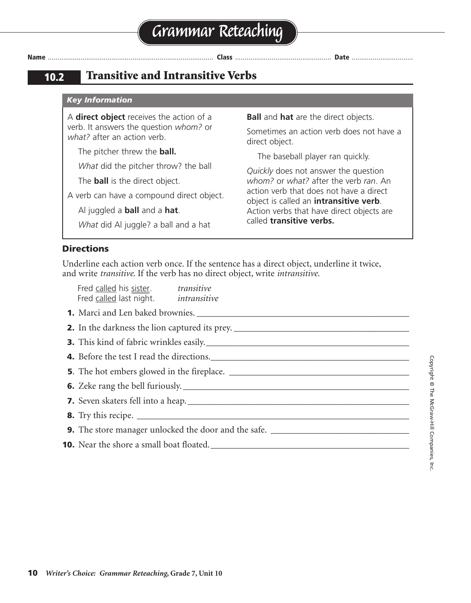**10.2 Transitive and Intransitive Verbs**

#### *Key Information*

A **direct object** receives the action of a verb. It answers the question *whom?* or *what?* after an action verb.

The pitcher threw the **ball.**

*What* did the pitcher throw? the ball

The **ball** is the direct object.

A verb can have a compound direct object.

Al juggled a **ball** and a **hat**.

*What* did Al juggle? a ball and a hat

**Ball** and **hat** are the direct objects.

Sometimes an action verb does not have a direct object.

The baseball player ran quickly.

*Quickly* does not answer the question *whom?* or *what?* after the verb *ran*. An action verb that does not have a direct object is called an **intransitive verb**. Action verbs that have direct objects are called **transitive verbs.**

#### **Directions**

Underline each action verb once. If the sentence has a direct object, underline it twice, and write *transitive*. If the verb has no direct object, write *intransitive.*

| Fred called his sister. transitive<br>Fred called last night. <i>intransitive</i> |                                                                                        |  |
|-----------------------------------------------------------------------------------|----------------------------------------------------------------------------------------|--|
|                                                                                   |                                                                                        |  |
| 2. In the darkness the lion captured its prey. __________________________________ |                                                                                        |  |
| 3. This kind of fabric wrinkles easily.                                           |                                                                                        |  |
|                                                                                   | 4. Before the test I read the directions.                                              |  |
|                                                                                   |                                                                                        |  |
|                                                                                   |                                                                                        |  |
|                                                                                   |                                                                                        |  |
|                                                                                   |                                                                                        |  |
|                                                                                   | <b>9.</b> The store manager unlocked the door and the safe. __________________________ |  |
|                                                                                   |                                                                                        |  |
|                                                                                   |                                                                                        |  |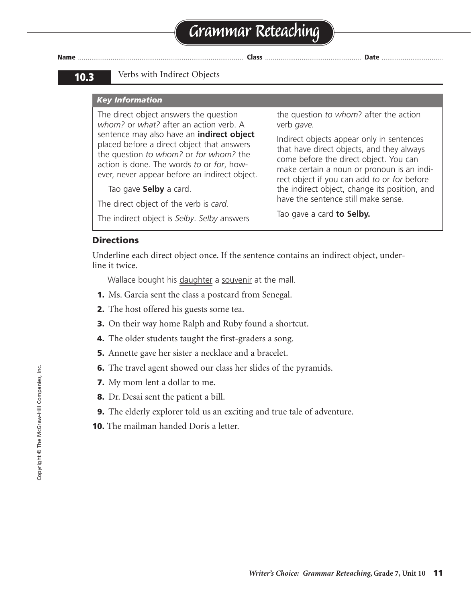# **Grammar Reteaching**

**Name** ...................................................................................... **Class** .................................................. **Date** ................................

#### **10.3** Verbs with Indirect Objects

#### *Key Information*

The direct object answers the question *whom?* or *what?* after an action verb. A sentence may also have an **indirect object** placed before a direct object that answers the question *to whom?* or *for whom?* the action is done. The words *to* or *for*, however, never appear before an indirect object.

Tao gave **Selby** a card.

The direct object of the verb is *card.*

The indirect object is *Selby*. *Selby* answers

the question *to whom*? after the action verb *gave.*

Indirect objects appear only in sentences that have direct objects, and they always come before the direct object. You can make certain a noun or pronoun is an indirect object if you can add *to* or *for* before the indirect object, change its position, and have the sentence still make sense.

Tao gave a card **to Selby.**

#### **Directions**

Underline each direct object once. If the sentence contains an indirect object, underline it twice.

Wallace bought his daughter a souvenir at the mall.

- **1.** Ms. Garcia sent the class a postcard from Senegal.
- **2.** The host offered his guests some tea.
- **3.** On their way home Ralph and Ruby found a shortcut.
- **4.** The older students taught the first-graders a song.
- **5.** Annette gave her sister a necklace and a bracelet.
- **6.** The travel agent showed our class her slides of the pyramids.
- **7.** My mom lent a dollar to me.
- **8.** Dr. Desai sent the patient a bill.
- **9.** The elderly explorer told us an exciting and true tale of adventure.
- **10.** The mailman handed Doris a letter.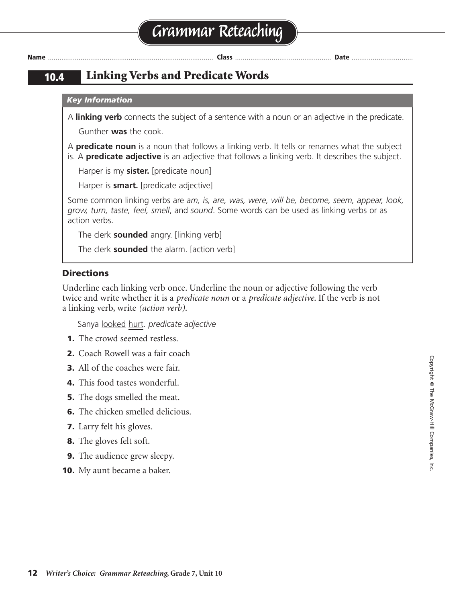### **10.4 Linking Verbs and Predicate Words**

#### *Key Information*

A **linking verb** connects the subject of a sentence with a noun or an adjective in the predicate. Gunther **was** the cook.

A **predicate noun** is a noun that follows a linking verb. It tells or renames what the subject

is. A **predicate adjective** is an adjective that follows a linking verb. It describes the subject.

Harper is my **sister.** [predicate noun]

Harper is **smart.** [predicate adjective]

Some common linking verbs are *am, is, are, was, were, will be, become, seem, appear, look, grow, turn, taste, feel, smell*, and *sound*. Some words can be used as linking verbs or as action verbs.

The clerk **sounded** angry. [linking verb]

The clerk **sounded** the alarm. [action verb]

#### **Directions**

Underline each linking verb once. Underline the noun or adjective following the verb twice and write whether it is a *predicate noun* or a *predicate adjective*. If the verb is not a linking verb, write *(action verb)*.

Sanya looked hurt. *predicate adjective*

- **1.** The crowd seemed restless.
- **2.** Coach Rowell was a fair coach
- **3.** All of the coaches were fair.
- **4.** This food tastes wonderful.
- **5.** The dogs smelled the meat.
- **6.** The chicken smelled delicious.
- **7.** Larry felt his gloves.
- **8.** The gloves felt soft.
- **9.** The audience grew sleepy.
- **10.** My aunt became a baker.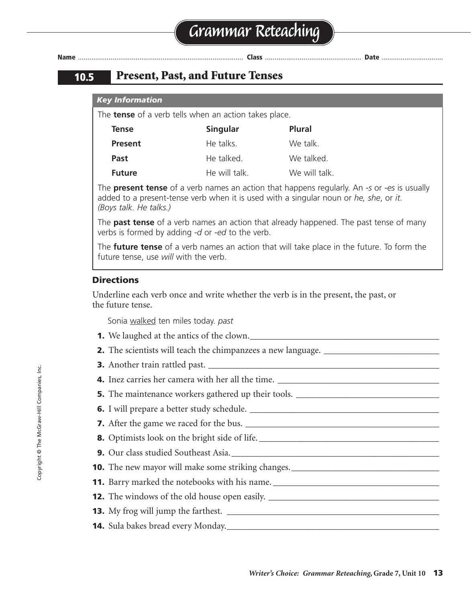### **10.5 Present, Past, and Future Tenses**

#### *Key Information*

The **tense** of a verb tells when an action takes place.

| Tense          | Singular      | <b>Plural</b> |
|----------------|---------------|---------------|
| <b>Present</b> | He talks.     | We talk.      |
| Past           | He talked.    | We talked.    |
| <b>Future</b>  | He will talk. | We will talk. |

The **present tense** of a verb names an action that happens regularly. An *-s* or *-es* is usually added to a present-tense verb when it is used with a singular noun or *he, she*, or *it*. *(Boys talk. He talks.)*

The **past tense** of a verb names an action that already happened. The past tense of many verbs is formed by adding *-d* or *-ed* to the verb.

The **future tense** of a verb names an action that will take place in the future. To form the future tense, use *will* with the verb.

#### **Directions**

Underline each verb once and write whether the verb is in the present, the past, or the future tense.

Sonia walked ten miles today. *past*

- **1.** We laughed at the antics of the clown.
- **2.** The scientists will teach the chimpanzees a new language. \_\_\_\_\_\_\_\_\_\_\_\_\_\_\_\_\_\_\_
- **3.** Another train rattled past.
- **4.** Inez carries her camera with her all the time.
- **5.** The maintenance workers gathered up their tools.
- **6.** I will prepare a better study schedule. \_\_\_\_\_\_\_\_\_\_\_\_\_\_\_\_\_\_\_\_\_\_\_\_\_\_\_\_\_\_\_\_\_\_\_\_\_\_\_\_\_
- **7.** After the game we raced for the bus. \_\_\_\_\_\_\_\_\_\_\_\_\_\_\_\_\_\_\_\_\_\_\_\_\_\_\_\_\_\_\_\_\_\_\_\_\_\_\_\_\_\_
- **8.** Optimists look on the bright side of life. \_\_\_\_\_\_\_\_\_\_\_\_\_\_\_\_\_\_\_\_\_\_\_\_\_\_\_\_\_\_\_\_\_\_\_\_\_\_\_
- **9.** Our class studied Southeast Asia.
- **10.** The new mayor will make some striking changes.
- **11.** Barry marked the notebooks with his name. \_\_\_\_\_\_\_\_\_\_\_\_\_\_\_\_\_\_\_\_\_\_\_\_\_\_\_\_\_\_\_\_\_\_\_\_
- **12.** The windows of the old house open easily. \_\_\_\_\_\_\_\_\_\_\_\_\_\_\_\_\_\_\_\_\_\_\_\_\_\_\_\_\_\_\_\_\_\_
- **13.** My frog will jump the farthest. \_\_\_\_\_\_\_\_\_\_\_\_\_\_\_\_\_\_\_\_\_\_\_\_\_\_\_\_\_\_\_\_\_\_\_\_\_\_\_\_\_\_\_\_\_\_
- **14.** Sula bakes bread every Monday. **Letter and the substitution of the substitution of the substitution of the substitution of the substitution of**  $\mathbf{S}$  **and**  $\mathbf{S}$  **and**  $\mathbf{S}$  **and**  $\mathbf{S}$  **and**  $\mathbf{S}$  **and**  $\mathbf{S}$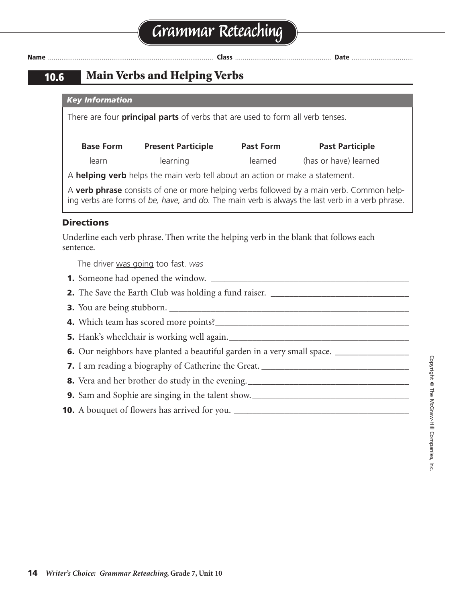### **10.6 Main Verbs and Helping Verbs**

|                                                                                                     | <b>Key Information</b>                                                           |                                                                                       |                  |                                                                                                                                                                                               |
|-----------------------------------------------------------------------------------------------------|----------------------------------------------------------------------------------|---------------------------------------------------------------------------------------|------------------|-----------------------------------------------------------------------------------------------------------------------------------------------------------------------------------------------|
|                                                                                                     |                                                                                  | There are four <b>principal parts</b> of verbs that are used to form all verb tenses. |                  |                                                                                                                                                                                               |
|                                                                                                     |                                                                                  |                                                                                       |                  |                                                                                                                                                                                               |
|                                                                                                     | <b>Base Form</b>                                                                 | <b>Present Participle</b>                                                             | <b>Past Form</b> | <b>Past Participle</b>                                                                                                                                                                        |
|                                                                                                     | learn                                                                            | learning                                                                              |                  | learned (has or have) learned                                                                                                                                                                 |
|                                                                                                     |                                                                                  | A helping verb helps the main verb tell about an action or make a statement.          |                  |                                                                                                                                                                                               |
|                                                                                                     |                                                                                  |                                                                                       |                  | A verb phrase consists of one or more helping verbs followed by a main verb. Common help-<br>ing verbs are forms of be, have, and do. The main verb is always the last verb in a verb phrase. |
| <b>Directions</b>                                                                                   |                                                                                  |                                                                                       |                  |                                                                                                                                                                                               |
| Underline each verb phrase. Then write the helping verb in the blank that follows each<br>sentence. |                                                                                  |                                                                                       |                  |                                                                                                                                                                                               |
| The driver was going too fast. was                                                                  |                                                                                  |                                                                                       |                  |                                                                                                                                                                                               |
|                                                                                                     |                                                                                  |                                                                                       |                  |                                                                                                                                                                                               |
| 2. The Save the Earth Club was holding a fund raiser. ___________________________                   |                                                                                  |                                                                                       |                  |                                                                                                                                                                                               |
|                                                                                                     |                                                                                  |                                                                                       |                  |                                                                                                                                                                                               |
|                                                                                                     |                                                                                  |                                                                                       |                  |                                                                                                                                                                                               |
|                                                                                                     |                                                                                  |                                                                                       |                  |                                                                                                                                                                                               |
|                                                                                                     |                                                                                  |                                                                                       |                  |                                                                                                                                                                                               |
|                                                                                                     | 7. I am reading a biography of Catherine the Great. ____________________________ |                                                                                       |                  |                                                                                                                                                                                               |
|                                                                                                     |                                                                                  |                                                                                       |                  | 8. Vera and her brother do study in the evening. _______________________________                                                                                                              |
|                                                                                                     |                                                                                  |                                                                                       |                  |                                                                                                                                                                                               |
| <b>10.</b> A bouquet of flowers has arrived for you. __________________________________             |                                                                                  |                                                                                       |                  |                                                                                                                                                                                               |
|                                                                                                     |                                                                                  |                                                                                       |                  |                                                                                                                                                                                               |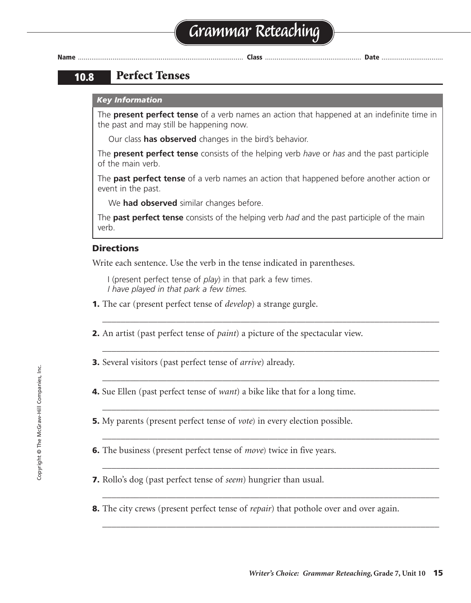# **Grammar Reteaching**

**Name** ...................................................................................... **Class** .................................................. **Date** ................................

### **10.8 Perfect Tenses**

#### *Key Information*

The **present perfect tense** of a verb names an action that happened at an indefinite time in the past and may still be happening now.

Our class **has observed** changes in the bird's behavior.

The **present perfect tense** consists of the helping verb *have* or *has* and the past participle of the main verb.

The **past perfect tense** of a verb names an action that happened before another action or event in the past.

We **had observed** similar changes before.

The **past perfect tense** consists of the helping verb *had* and the past participle of the main verb.

\_\_\_\_\_\_\_\_\_\_\_\_\_\_\_\_\_\_\_\_\_\_\_\_\_\_\_\_\_\_\_\_\_\_\_\_\_\_\_\_\_\_\_\_\_\_\_\_\_\_\_\_\_\_\_\_\_\_\_\_\_\_\_\_\_\_\_\_\_\_\_\_\_

\_\_\_\_\_\_\_\_\_\_\_\_\_\_\_\_\_\_\_\_\_\_\_\_\_\_\_\_\_\_\_\_\_\_\_\_\_\_\_\_\_\_\_\_\_\_\_\_\_\_\_\_\_\_\_\_\_\_\_\_\_\_\_\_\_\_\_\_\_\_\_\_\_

\_\_\_\_\_\_\_\_\_\_\_\_\_\_\_\_\_\_\_\_\_\_\_\_\_\_\_\_\_\_\_\_\_\_\_\_\_\_\_\_\_\_\_\_\_\_\_\_\_\_\_\_\_\_\_\_\_\_\_\_\_\_\_\_\_\_\_\_\_\_\_\_\_

\_\_\_\_\_\_\_\_\_\_\_\_\_\_\_\_\_\_\_\_\_\_\_\_\_\_\_\_\_\_\_\_\_\_\_\_\_\_\_\_\_\_\_\_\_\_\_\_\_\_\_\_\_\_\_\_\_\_\_\_\_\_\_\_\_\_\_\_\_\_\_\_\_

\_\_\_\_\_\_\_\_\_\_\_\_\_\_\_\_\_\_\_\_\_\_\_\_\_\_\_\_\_\_\_\_\_\_\_\_\_\_\_\_\_\_\_\_\_\_\_\_\_\_\_\_\_\_\_\_\_\_\_\_\_\_\_\_\_\_\_\_\_\_\_\_\_

\_\_\_\_\_\_\_\_\_\_\_\_\_\_\_\_\_\_\_\_\_\_\_\_\_\_\_\_\_\_\_\_\_\_\_\_\_\_\_\_\_\_\_\_\_\_\_\_\_\_\_\_\_\_\_\_\_\_\_\_\_\_\_\_\_\_\_\_\_\_\_\_\_

\_\_\_\_\_\_\_\_\_\_\_\_\_\_\_\_\_\_\_\_\_\_\_\_\_\_\_\_\_\_\_\_\_\_\_\_\_\_\_\_\_\_\_\_\_\_\_\_\_\_\_\_\_\_\_\_\_\_\_\_\_\_\_\_\_\_\_\_\_\_\_\_\_

\_\_\_\_\_\_\_\_\_\_\_\_\_\_\_\_\_\_\_\_\_\_\_\_\_\_\_\_\_\_\_\_\_\_\_\_\_\_\_\_\_\_\_\_\_\_\_\_\_\_\_\_\_\_\_\_\_\_\_\_\_\_\_\_\_\_\_\_\_\_\_\_\_

### **Directions**

Write each sentence. Use the verb in the tense indicated in parentheses.

I (present perfect tense of *play*) in that park a few times. *I have played in that park a few times.*

- **1.** The car (present perfect tense of *develop*) a strange gurgle.
- **2.** An artist (past perfect tense of *paint*) a picture of the spectacular view.
- **3.** Several visitors (past perfect tense of *arrive*) already.
- **4.** Sue Ellen (past perfect tense of *want*) a bike like that for a long time.
- **5.** My parents (present perfect tense of *vote*) in every election possible.
- **6.** The business (present perfect tense of *move*) twice in five years.
- **7.** Rollo's dog (past perfect tense of *seem*) hungrier than usual.
- **8.** The city crews (present perfect tense of *repair*) that pothole over and over again.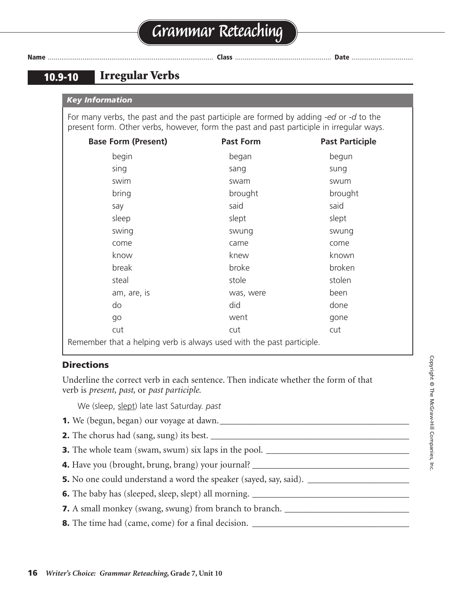# **Grammar Reteaching**

|--|

### **10.9-10 Irregular Verbs**

|  | <b>Key Information</b> |
|--|------------------------|
|  |                        |

For many verbs, the past and the past participle are formed by adding *-ed* or *-d* to the present form. Other verbs, however, form the past and past participle in irregular ways.

| <b>Base Form (Present)</b>                                            | <b>Past Form</b> | <b>Past Participle</b> |
|-----------------------------------------------------------------------|------------------|------------------------|
| begin                                                                 | began            | begun                  |
| sing                                                                  | sang             | sung                   |
| swim                                                                  | swam             | swum                   |
| bring                                                                 | brought          | brought                |
| say                                                                   | said             | said                   |
| sleep                                                                 | slept            | slept                  |
| swing                                                                 | swung            | swung                  |
| come                                                                  | came             | come                   |
| know                                                                  | knew             | known                  |
| break                                                                 | broke            | broken                 |
| steal                                                                 | stole            | stolen                 |
| am, are, is                                                           | was, were        | been                   |
| do                                                                    | did              | done                   |
| go                                                                    | went             | gone                   |
| cut                                                                   | cut              | cut                    |
| Remember that a helping verb is always used with the past participle. |                  |                        |

#### **Directions**

Underline the correct verb in each sentence. Then indicate whether the form of that verb is *present, past,* or *past participle.*

We (sleep, slept) late last Saturday. *past*

- **1.** We (begun, began) our voyage at dawn.\_\_\_\_\_\_\_\_\_\_\_\_\_\_\_\_\_\_\_\_\_\_\_\_\_\_\_\_\_\_\_\_\_\_\_\_\_\_\_\_\_
- **2.** The chorus had (sang, sung) its best. \_\_\_\_\_\_\_\_\_\_\_\_\_\_\_\_\_\_\_\_\_\_\_\_\_\_\_\_\_\_\_\_\_\_\_\_\_\_\_\_\_\_\_
- **3.** The whole team (swam, swum) six laps in the pool. \_\_\_\_\_\_\_\_\_\_\_\_\_\_\_\_\_\_\_\_\_\_\_\_\_\_\_\_\_\_\_
- **4.** Have you (brought, brung, brang) your journal? \_\_\_\_\_\_\_\_\_\_\_\_\_\_\_\_\_\_\_\_\_\_\_\_\_\_\_\_\_\_\_\_\_\_
- **5.** No one could understand a word the speaker (sayed, say, said). \_\_\_\_\_\_\_\_\_\_\_\_\_\_\_\_\_\_\_\_\_\_
- **6.** The baby has (sleeped, sleep, slept) all morning. \_\_\_\_\_\_\_\_\_\_\_\_\_\_\_\_\_\_\_\_\_\_\_\_\_\_\_\_\_\_\_\_\_\_
- **7.** A small monkey (swang, swung) from branch to branch. \_\_\_\_\_\_\_\_\_\_\_\_\_\_\_\_\_\_\_\_\_\_\_\_\_\_\_\_\_
- **8.** The time had (came, come) for a final decision. \_\_\_\_\_\_\_\_\_\_\_\_\_\_\_\_\_\_\_\_\_\_\_\_\_\_\_\_\_\_\_\_\_\_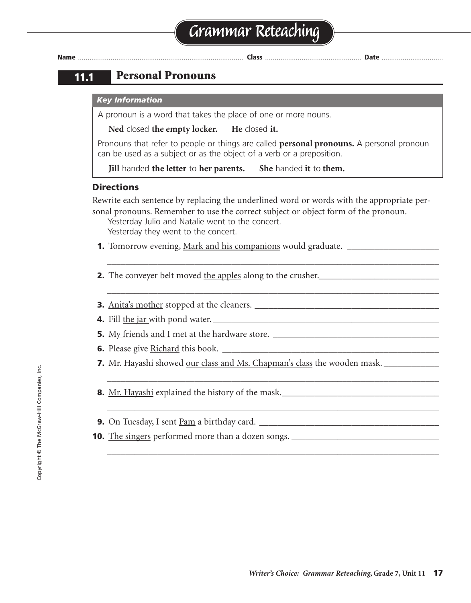### **11.1 Personal Pronouns**

#### *Key Information*

A pronoun is a word that takes the place of one or more nouns.

**Ned** closed **the empty locker. He** closed **it.**

Pronouns that refer to people or things are called **personal pronouns.** A personal pronoun can be used as a subject or as the object of a verb or a preposition.

**Jill** handed **the letter** to **her parents. She** handed **it** to **them.**

#### **Directions**

Rewrite each sentence by replacing the underlined word or words with the appropriate personal pronouns. Remember to use the correct subject or object form of the pronoun.

\_\_\_\_\_\_\_\_\_\_\_\_\_\_\_\_\_\_\_\_\_\_\_\_\_\_\_\_\_\_\_\_\_\_\_\_\_\_\_\_\_\_\_\_\_\_\_\_\_\_\_\_\_\_\_\_\_\_\_\_\_\_\_\_\_\_\_\_\_\_\_\_

\_\_\_\_\_\_\_\_\_\_\_\_\_\_\_\_\_\_\_\_\_\_\_\_\_\_\_\_\_\_\_\_\_\_\_\_\_\_\_\_\_\_\_\_\_\_\_\_\_\_\_\_\_\_\_\_\_\_\_\_\_\_\_\_\_\_\_\_\_\_\_\_

\_\_\_\_\_\_\_\_\_\_\_\_\_\_\_\_\_\_\_\_\_\_\_\_\_\_\_\_\_\_\_\_\_\_\_\_\_\_\_\_\_\_\_\_\_\_\_\_\_\_\_\_\_\_\_\_\_\_\_\_\_\_\_\_\_\_\_\_\_\_\_\_

\_\_\_\_\_\_\_\_\_\_\_\_\_\_\_\_\_\_\_\_\_\_\_\_\_\_\_\_\_\_\_\_\_\_\_\_\_\_\_\_\_\_\_\_\_\_\_\_\_\_\_\_\_\_\_\_\_\_\_\_\_\_\_\_\_\_\_\_\_\_\_\_

\_\_\_\_\_\_\_\_\_\_\_\_\_\_\_\_\_\_\_\_\_\_\_\_\_\_\_\_\_\_\_\_\_\_\_\_\_\_\_\_\_\_\_\_\_\_\_\_\_\_\_\_\_\_\_\_\_\_\_\_\_\_\_\_\_\_\_\_\_\_\_\_

Yesterday Julio and Natalie went to the concert. Yesterday they went to the concert.

- **1.** Tomorrow evening, Mark and his companions would graduate.
- **2.** The conveyer belt moved the apples along to the crusher.
- **3.** Anita's mother stopped at the cleaners. \_\_\_\_\_\_\_\_\_\_\_\_\_\_\_\_\_\_\_\_\_\_\_\_\_\_\_\_\_\_\_\_\_\_\_\_\_\_\_\_
- **4.** Fill the jar with pond water.
- **5.** My friends and I met at the hardware store.
- **6.** Please give Richard this book.
- **7.** Mr. Hayashi showed our class and Ms. Chapman's class the wooden mask.
- **8.** Mr. Hayashi explained the history of the mask.\_\_\_\_\_\_\_\_\_\_\_\_\_\_\_\_\_\_\_\_\_\_\_\_\_\_\_\_\_\_\_\_\_\_
- **9.** On Tuesday, I sent Pam a birthday card.
- **10.** The singers performed more than a dozen songs. \_\_\_\_\_\_\_\_\_\_\_\_\_\_\_\_\_\_\_\_\_\_\_\_\_\_\_\_\_\_\_\_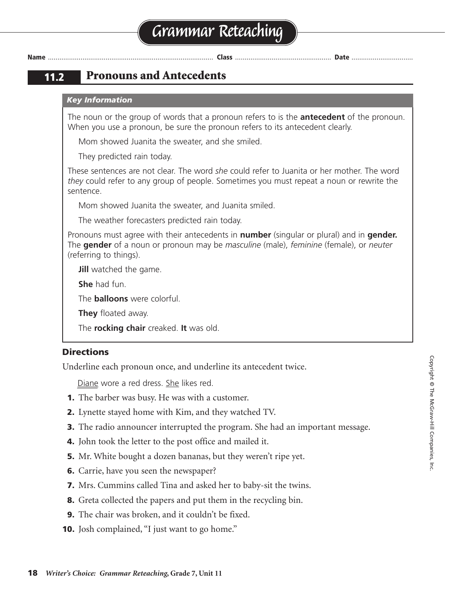### **11.2 Pronouns and Antecedents**

#### *Key Information*

The noun or the group of words that a pronoun refers to is the **antecedent** of the pronoun. When you use a pronoun, be sure the pronoun refers to its antecedent clearly.

Mom showed Juanita the sweater, and she smiled.

They predicted rain today.

These sentences are not clear. The word *she* could refer to Juanita or her mother. The word *they* could refer to any group of people. Sometimes you must repeat a noun or rewrite the sentence.

Mom showed Juanita the sweater, and Juanita smiled.

The weather forecasters predicted rain today.

Pronouns must agree with their antecedents in **number** (singular or plural) and in **gender.** The **gender** of a noun or pronoun may be *masculine* (male), *feminine* (female), or *neuter* (referring to things).

**Jill** watched the game.

**She** had fun.

The **balloons** were colorful.

**They** floated away.

The **rocking chair** creaked. **It** was old.

#### **Directions**

Underline each pronoun once, and underline its antecedent twice.

Diane wore a red dress. She likes red.

- **1.** The barber was busy. He was with a customer.
- **2.** Lynette stayed home with Kim, and they watched TV.
- **3.** The radio announcer interrupted the program. She had an important message.
- **4.** John took the letter to the post office and mailed it.
- **5.** Mr. White bought a dozen bananas, but they weren't ripe yet.
- **6.** Carrie, have you seen the newspaper?
- **7.** Mrs. Cummins called Tina and asked her to baby-sit the twins.
- **8.** Greta collected the papers and put them in the recycling bin.
- **9.** The chair was broken, and it couldn't be fixed.
- **10.** Josh complained, "I just want to go home."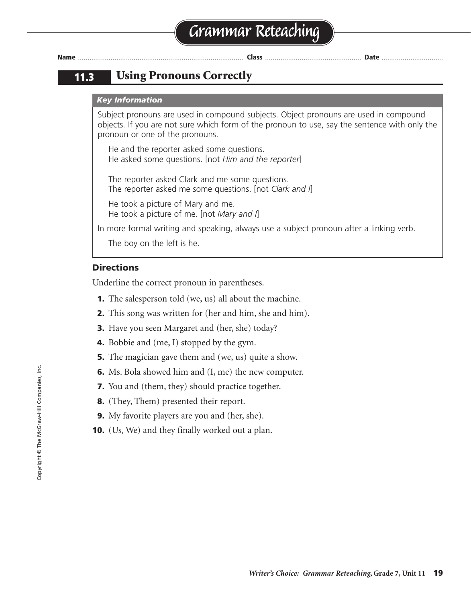### **11.3 Using Pronouns Correctly**

#### *Key Information*

Subject pronouns are used in compound subjects. Object pronouns are used in compound objects. If you are not sure which form of the pronoun to use, say the sentence with only the pronoun or one of the pronouns.

He and the reporter asked some questions. He asked some questions. [not *Him and the reporter*]

The reporter asked Clark and me some questions. The reporter asked me some questions. [not *Clark and I*]

He took a picture of Mary and me. He took a picture of me. [not *Mary and I*]

In more formal writing and speaking, always use a subject pronoun after a linking verb.

The boy on the left is he.

#### **Directions**

Underline the correct pronoun in parentheses.

- **1.** The salesperson told (we, us) all about the machine.
- **2.** This song was written for (her and him, she and him).
- **3.** Have you seen Margaret and (her, she) today?
- **4.** Bobbie and (me, I) stopped by the gym.
- **5.** The magician gave them and (we, us) quite a show.
- **6.** Ms. Bola showed him and (I, me) the new computer.
- **7.** You and (them, they) should practice together.
- **8.** (They, Them) presented their report.
- **9.** My favorite players are you and (her, she).
- **10.** (Us, We) and they finally worked out a plan.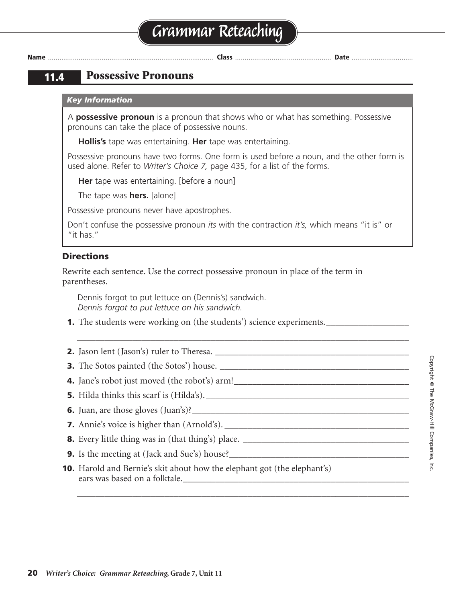# **Grammar Reteaching**

**Name** ...................................................................................... **Class** .................................................. **Date** ................................

### **11.4 Possessive Pronouns**

#### *Key Information*

A **possessive pronoun** is a pronoun that shows who or what has something. Possessive pronouns can take the place of possessive nouns.

**Hollis's** tape was entertaining. **Her** tape was entertaining.

Possessive pronouns have two forms. One form is used before a noun, and the other form is used alone. Refer to *Writer's Choice 7,* page 435, for a list of the forms.

**Her** tape was entertaining. [before a noun]

The tape was **hers.** [alone]

Possessive pronouns never have apostrophes.

Don't confuse the possessive pronoun *its* with the contraction *it's,* which means "it is" or "it has."

\_\_\_\_\_\_\_\_\_\_\_\_\_\_\_\_\_\_\_\_\_\_\_\_\_\_\_\_\_\_\_\_\_\_\_\_\_\_\_\_\_\_\_\_\_\_\_\_\_\_\_\_\_\_\_\_\_\_\_\_\_\_\_\_\_\_\_\_\_\_\_\_

\_\_\_\_\_\_\_\_\_\_\_\_\_\_\_\_\_\_\_\_\_\_\_\_\_\_\_\_\_\_\_\_\_\_\_\_\_\_\_\_\_\_\_\_\_\_\_\_\_\_\_\_\_\_\_\_\_\_\_\_\_\_\_\_\_\_\_\_\_\_\_\_

#### **Directions**

Rewrite each sentence. Use the correct possessive pronoun in place of the term in parentheses.

Dennis forgot to put lettuce on (Dennis's) sandwich. *Dennis forgot to put lettuce on his sandwich.*

- **1.** The students were working on (the students') science experiments.
- **2.** Jason lent (Jason's) ruler to Theresa. \_\_\_\_\_\_\_\_\_\_\_\_\_\_\_\_\_\_\_\_\_\_\_\_\_\_\_\_\_\_\_\_\_\_\_\_\_\_\_\_\_\_ **3.** The Sotos painted (the Sotos') house. \_\_\_\_\_\_\_\_\_\_\_\_\_\_\_\_\_\_\_\_\_\_\_\_\_\_\_\_\_\_\_\_\_\_\_\_\_\_\_\_\_ **4.** Jane's robot just moved (the robot's) arm! **5.** Hilda thinks this scarf is (Hilda's). \_\_\_\_\_\_\_\_\_\_\_\_\_\_\_\_\_\_\_\_\_\_\_\_\_\_\_\_\_\_\_\_\_\_\_\_\_\_\_\_\_\_\_\_ **6.** Juan, are those gloves (Juan's)?
- **7.** Annie's voice is higher than (Arnold's). \_\_\_\_\_\_\_\_\_\_\_\_\_\_\_\_\_\_\_\_\_\_\_\_\_\_\_\_\_\_\_\_\_\_\_\_\_\_\_\_
- **8.** Every little thing was in (that thing's) place. \_\_\_\_\_\_\_\_\_\_\_\_\_\_\_\_\_\_\_\_\_\_\_\_\_\_\_\_\_\_\_\_\_\_\_\_
- **9.** Is the meeting at (Jack and Sue's) house?\_\_\_\_\_\_\_\_\_\_\_\_\_\_\_\_\_\_\_\_\_\_\_\_\_\_\_\_\_\_\_\_\_\_\_
- **10.** Harold and Bernie's skit about how the elephant got (the elephant's) ears was based on a folktale.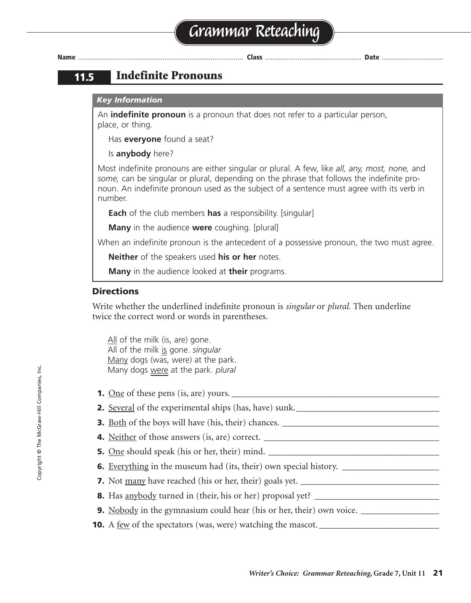### **11.5 Indefinite Pronouns**

#### *Key Information*

An **indefinite pronoun** is a pronoun that does not refer to a particular person, place, or thing.

Has **everyone** found a seat?

#### Is **anybody** here?

Most indefinite pronouns are either singular or plural. A few, like *all, any, most, none,* and *some,* can be singular or plural, depending on the phrase that follows the indefinite pronoun. An indefinite pronoun used as the subject of a sentence must agree with its verb in number.

**Each** of the club members **has** a responsibility. [singular]

**Many** in the audience **were** coughing. [plural]

When an indefinite pronoun is the antecedent of a possessive pronoun, the two must agree.

**Neither** of the speakers used **his or her** notes.

**Many** in the audience looked at **their** programs.

#### **Directions**

Write whether the underlined indefinite pronoun is *singular* or *plural.* Then underline twice the correct word or words in parentheses.

All of the milk (is, are) gone. All of the milk is gone. *singular* Many dogs (was, were) at the park. Many dogs were at the park. *plural*

- **1.** One of these pens (is, are) yours. \_\_\_\_\_\_\_\_\_\_\_\_\_\_\_\_\_\_\_\_\_\_\_\_\_\_\_\_\_\_\_\_\_\_\_\_\_\_\_\_\_\_\_\_\_ **2.** Several of the experimental ships (has, have) sunk. **3.** Both of the boys will have (his, their) chances. **4.** Neither of those answers (is, are) correct. **5.** One should speak (his or her, their) mind. \_\_\_\_\_\_\_\_\_\_\_\_\_\_\_\_\_\_\_\_\_\_\_\_\_\_\_\_\_\_\_\_\_\_\_\_\_
- **6.** Everything in the museum had (its, their) own special history. \_\_\_\_\_\_\_\_\_\_\_\_\_\_
- **7.** Not many have reached (his or her, their) goals yet. \_\_\_\_\_\_\_\_\_\_\_\_\_\_\_\_\_\_\_\_\_\_\_\_\_\_\_\_\_\_
- **8.** Has anybody turned in (their, his or her) proposal yet?
- **9.** Nobody in the gymnasium could hear (his or her, their) own voice.
- **10.** A few of the spectators (was, were) watching the mascot. \_\_\_\_\_\_\_\_\_\_\_\_\_\_\_\_\_\_\_\_\_\_\_\_\_\_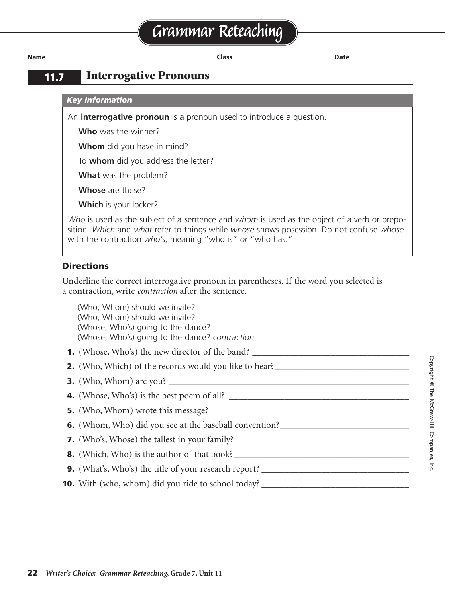### **11.7 Interrogative Pronouns**

#### *Key Information*

An **interrogative pronoun** is a pronoun used to introduce a question.

**Who** was the winner?

**Whom** did you have in mind?

To **whom** did you address the letter?

**What** was the problem?

**Whose** are these?

**Which** is your locker?

*Who* is used as the subject of a sentence and *whom* is used as the object of a verb or preposition. *Which* and *what* refer to things while *whose* shows posession. Do not confuse *whose* with the contraction *who's*, meaning "who is" *or* "who has."

#### **Directions**

Underline the correct interrogative pronoun in parentheses. If the word you selected is a contraction, write *contraction* after the sentence.

(Who, Whom) should we invite? (Who, Whom) should we invite? (Whose, Who's) going to the dance? (Whose, Who's) going to the dance? *contraction*

**1.** (Whose, Who's) the new director of the band? **2.** (Who, Which) of the records would you like to hear? \_\_\_\_\_\_\_\_\_\_\_\_\_\_\_\_\_\_\_\_\_\_\_\_\_\_\_\_\_\_

- **3.** (Who, Whom) are you?
- **4.** (Whose, Who's) is the best poem of all? \_\_\_\_\_\_\_\_\_\_\_\_\_\_\_\_\_\_\_\_\_\_\_\_\_\_\_\_\_\_\_\_\_\_\_\_\_\_\_
- **5.** (Who, Whom) wrote this message?
- **6.** (Whom, Who) did you see at the baseball convention?
- **7.** (Who's, Whose) the tallest in your family?\_\_\_\_\_\_\_\_\_\_\_\_\_\_\_\_\_\_\_\_\_\_\_\_\_\_\_\_\_\_\_\_\_\_\_\_\_\_
- **8.** (Which, Who) is the author of that book?\_\_\_\_\_\_\_\_\_\_\_\_\_\_\_\_\_\_\_\_\_\_\_\_\_\_\_\_\_\_\_\_\_\_\_\_\_\_
- **9.** (What's, Who's) the title of your research report? \_\_\_\_\_\_\_\_\_\_\_\_\_\_\_\_\_\_\_\_\_\_\_\_\_\_\_\_\_\_\_\_
- **10.** With (who, whom) did you ride to school today?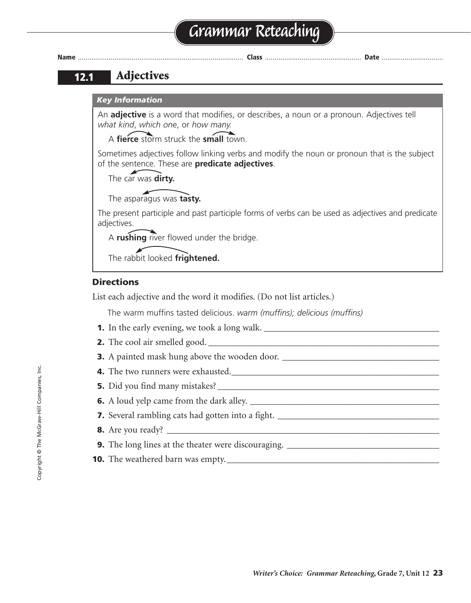# **Grammar Reteaching**



**Name** ...................................................................................... **Class** .................................................. **Date** ................................

### **12.1 Adjectives**

#### *Key Information*

An **adjective** is a word that modifies, or describes, a noun or a pronoun. Adjectives tell *what kind*, *which on*e, or *how many.*

A **fierce** storm struck the **small** town.

Sometimes adjectives follow linking verbs and modify the noun or pronoun that is the subject of the sentence. These are **predicate adjectives**.

The car was **dirty.**

The asparagus was **tasty.**

The present participle and past participle forms of verbs can be used as adjectives and predicate adjectives.

A **rushing** river flowed under the bridge.

The rabbit looked **frightened.**

#### **Directions**

List each adjective and the word it modifies. (Do not list articles.)

The warm muffins tasted delicious. *warm (muffins); delicious (muffins)*

- **1.** In the early evening, we took a long walk. \_\_\_\_\_\_\_\_\_\_\_\_\_\_\_\_\_\_\_\_\_\_\_\_\_\_\_\_\_\_\_\_\_
- **2.** The cool air smelled good. \_\_\_\_\_\_\_\_\_\_\_\_\_\_\_\_\_\_\_\_\_\_\_\_\_\_\_\_\_\_\_\_\_\_\_\_\_\_\_\_\_\_\_\_\_\_\_\_\_\_
- **3.** A painted mask hung above the wooden door. \_\_\_\_\_\_\_\_\_\_\_\_\_\_\_\_\_\_\_\_\_\_\_\_\_\_\_\_\_\_\_\_\_\_
- **4.** The two runners were exhausted.
- **5.** Did you find many mistakes?
- **6.** A loud yelp came from the dark alley. \_\_\_\_\_\_\_\_\_\_\_\_\_\_\_\_\_\_\_\_\_\_\_\_\_\_\_\_\_\_\_\_\_\_\_\_\_\_\_\_\_
- **7.** Several rambling cats had gotten into a fight. \_\_\_\_\_\_\_\_\_\_\_\_\_\_\_\_\_\_\_\_\_\_\_\_\_\_\_\_\_\_\_\_\_\_\_
- **8.** Are you ready?
- **9.** The long lines at the theater were discouraging. \_\_\_\_\_\_\_\_\_\_\_\_\_\_\_\_\_\_\_\_\_\_\_\_\_\_\_\_\_\_\_\_\_
- **10.** The weathered barn was empty.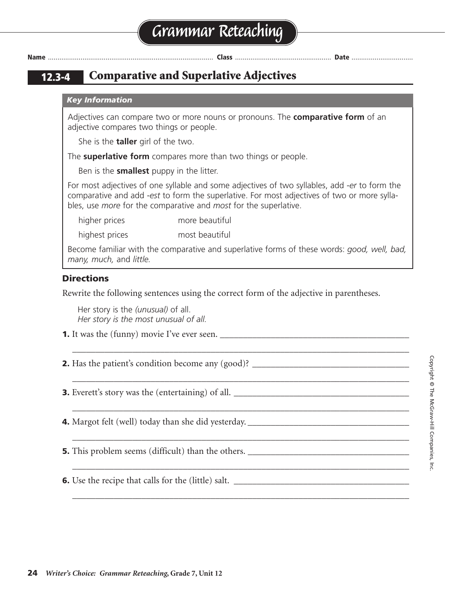**12.3-4 Comparative and Superlative Adjectives**

#### *Key Information*

Adjectives can compare two or more nouns or pronouns. The **comparative form** of an adjective compares two things or people.

She is the **taller** girl of the two.

The **superlative form** compares more than two things or people.

Ben is the **smallest** puppy in the litter.

For most adjectives of one syllable and some adjectives of two syllables, add *-er* to form the comparative and add *-est* to form the superlative. For most adjectives of two or more syllables, use *more* for the comparative and *most* for the superlative.

higher prices more beautiful

highest prices most beautiful

Become familiar with the comparative and superlative forms of these words: *good, well, bad, many, much,* and *little.*

\_\_\_\_\_\_\_\_\_\_\_\_\_\_\_\_\_\_\_\_\_\_\_\_\_\_\_\_\_\_\_\_\_\_\_\_\_\_\_\_\_\_\_\_\_\_\_\_\_\_\_\_\_\_\_\_\_\_\_\_\_\_\_\_\_\_\_\_\_\_\_\_\_

\_\_\_\_\_\_\_\_\_\_\_\_\_\_\_\_\_\_\_\_\_\_\_\_\_\_\_\_\_\_\_\_\_\_\_\_\_\_\_\_\_\_\_\_\_\_\_\_\_\_\_\_\_\_\_\_\_\_\_\_\_\_\_\_\_\_\_\_\_\_\_\_\_

\_\_\_\_\_\_\_\_\_\_\_\_\_\_\_\_\_\_\_\_\_\_\_\_\_\_\_\_\_\_\_\_\_\_\_\_\_\_\_\_\_\_\_\_\_\_\_\_\_\_\_\_\_\_\_\_\_\_\_\_\_\_\_\_\_\_\_\_\_\_\_\_\_

\_\_\_\_\_\_\_\_\_\_\_\_\_\_\_\_\_\_\_\_\_\_\_\_\_\_\_\_\_\_\_\_\_\_\_\_\_\_\_\_\_\_\_\_\_\_\_\_\_\_\_\_\_\_\_\_\_\_\_\_\_\_\_\_\_\_\_\_\_\_\_\_\_

\_\_\_\_\_\_\_\_\_\_\_\_\_\_\_\_\_\_\_\_\_\_\_\_\_\_\_\_\_\_\_\_\_\_\_\_\_\_\_\_\_\_\_\_\_\_\_\_\_\_\_\_\_\_\_\_\_\_\_\_\_\_\_\_\_\_\_\_\_\_\_\_\_

\_\_\_\_\_\_\_\_\_\_\_\_\_\_\_\_\_\_\_\_\_\_\_\_\_\_\_\_\_\_\_\_\_\_\_\_\_\_\_\_\_\_\_\_\_\_\_\_\_\_\_\_\_\_\_\_\_\_\_\_\_\_\_\_\_\_\_\_\_\_\_\_\_

#### **Directions**

Rewrite the following sentences using the correct form of the adjective in parentheses.

Her story is the *(unusual)* of all. *Her story is the most unusual of all.*

- **1.** It was the (funny) movie I've ever seen. \_\_\_\_\_\_\_\_\_\_\_\_\_\_\_\_\_\_\_\_\_\_\_\_\_\_\_\_\_\_\_\_\_\_\_\_\_\_\_\_\_
- **2.** Has the patient's condition become any (good)?

**3.** Everett's story was the (entertaining) of all. \_\_\_\_\_\_\_\_\_\_\_\_\_\_\_\_\_\_\_\_\_\_\_\_\_\_\_\_\_\_\_\_\_\_\_\_\_\_

**4.** Margot felt (well) today than she did yesterday. \_\_\_\_\_\_\_\_\_\_\_\_\_\_\_\_\_\_\_\_\_\_\_\_\_\_\_\_\_\_\_\_\_\_\_

**5.** This problem seems (difficult) than the others. \_\_\_\_\_\_\_\_\_\_\_\_\_\_\_\_\_\_\_\_\_\_\_\_\_\_\_\_

**6.** Use the recipe that calls for the (little) salt. \_\_\_\_\_\_\_\_\_\_\_\_\_\_\_\_\_\_\_\_\_\_\_\_\_\_\_\_\_\_\_\_\_\_\_\_\_\_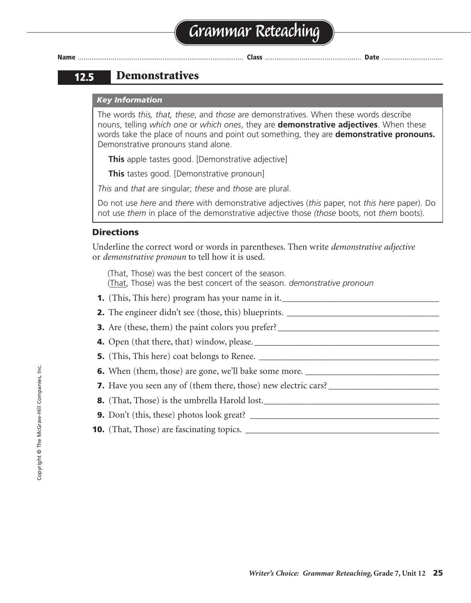### **12.5 Demonstratives**

#### *Key Information*

The words *this, that, these*, and *those* are demonstratives. When these words describe nouns, telling *which one* or *which ones*, they are **demonstrative adjectives**. When these words take the place of nouns and point out something, they are **demonstrative pronouns.** Demonstrative pronouns stand alone.

**This** apple tastes good. [Demonstrative adjective]

**This** tastes good. [Demonstrative pronoun]

*This* and *that* are singular; *these* and *those* are plural.

Do not use *here* and *there* with demonstrative adjectives (*this* paper, not *this here* paper). Do not use *them* in place of the demonstrative adjective those *(those* boots, not *them* boots).

#### **Directions**

Underline the correct word or words in parentheses. Then write *demonstrative adjective* or *demonstrative pronoun* to tell how it is used.

(That, Those) was the best concert of the season. (That, Those) was the best concert of the season. *demonstrative pronoun*

- **1.** (This, This here) program has your name in it.
- **2.** The engineer didn't see (those, this) blueprints. \_\_\_\_\_\_\_\_\_\_\_\_\_\_\_\_\_\_\_\_\_\_\_\_\_\_\_
- **3.** Are (these, them) the paint colors you prefer? \_\_\_\_\_\_\_\_\_\_\_\_\_\_\_\_\_\_\_\_\_\_\_\_\_\_\_\_\_\_\_\_\_\_\_
- **4.** Open (that there, that) window, please. \_\_\_\_\_\_\_\_\_\_\_\_\_\_\_\_\_\_\_\_\_\_\_\_\_\_\_\_\_\_\_\_\_\_\_\_\_\_\_\_
- **5.** (This, This here) coat belongs to Renee.
- **6.** When (them, those) are gone, we'll bake some more.
- **7.** Have you seen any of (them there, those) new electric cars? \_\_\_\_\_\_\_\_\_\_\_\_\_\_\_\_\_\_\_\_\_\_\_\_
- **8.** (That, Those) is the umbrella Harold lost.
- **9.** Don't (this, these) photos look great?
- **10.** (That, Those) are fascinating topics.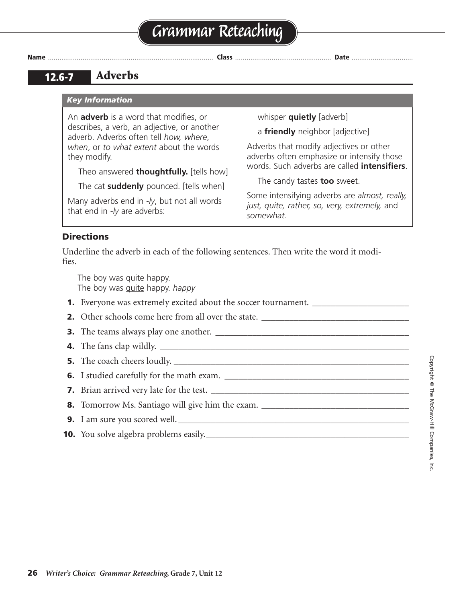### **12.6-7 Adverbs**

#### *Key Information*

An **adverb** is a word that modifies, or describes, a verb, an adjective, or another adverb. Adverbs often tell *how, where*, *when*, or *to what extent* about the words they modify.

Theo answered **thoughtfully.** [tells how]

The cat **suddenly** pounced. [tells when]

Many adverbs end in *-ly*, but not all words that end in *-ly* are adverbs:

whisper **quietly** [adverb]

a **friendly** neighbor [adjective]

Adverbs that modify adjectives or other adverbs often emphasize or intensify those words. Such adverbs are called **intensifiers**.

The candy tastes **too** sweet.

Some intensifying adverbs are *almost, really, just, quite, rather, so, very, extremely,* and *somewhat.*

#### **Directions**

Underline the adverb in each of the following sentences. Then write the word it modifies.

The boy was quite happy. The boy was quite happy. *happy*

- **1.** Everyone was extremely excited about the soccer tournament. \_\_\_\_\_\_\_\_\_\_\_\_\_\_\_\_
- **2.** Other schools come here from all over the state.
- **3.** The teams always play one another. \_\_\_\_\_\_\_\_\_\_\_\_\_\_\_\_\_\_\_\_\_\_\_\_\_\_\_\_\_\_\_\_\_\_\_\_\_\_\_\_\_\_
- **4.** The fans clap wildly. \_\_\_\_\_\_\_\_\_\_\_\_\_\_\_\_\_\_\_\_\_\_\_\_\_\_\_\_\_\_\_\_\_\_\_\_\_\_\_\_\_\_\_\_\_\_\_\_\_\_\_\_\_\_
- **5.** The coach cheers loudly.
- **6.** I studied carefully for the math exam.
- **7.** Brian arrived very late for the test.
- **8.** Tomorrow Ms. Santiago will give him the exam. \_\_\_\_\_\_\_\_\_\_\_\_\_\_\_\_\_\_\_\_\_\_\_\_\_\_\_\_\_\_\_\_
- **9.** I am sure you scored well. \_\_\_\_\_\_\_\_\_\_\_\_\_\_\_\_\_\_\_\_\_\_\_\_\_\_\_\_\_\_\_\_\_\_\_\_\_\_\_\_\_\_\_\_\_\_\_\_\_\_
- **10.** You solve algebra problems easily.\_\_\_\_\_\_\_\_\_\_\_\_\_\_\_\_\_\_\_\_\_\_\_\_\_\_\_\_\_\_\_\_\_\_\_\_\_\_\_\_\_\_\_\_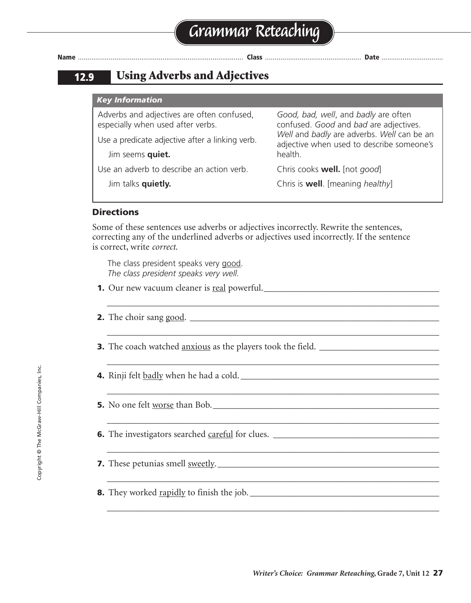### **12.9 Using Adverbs and Adjectives**

| <b>Key Information</b>                                                          |                                                                                         |  |  |  |
|---------------------------------------------------------------------------------|-----------------------------------------------------------------------------------------|--|--|--|
| Adverbs and adjectives are often confused,<br>especially when used after verbs. | Good, bad, well, and badly are often<br>confused. Good and bad are adjectives.          |  |  |  |
| Use a predicate adjective after a linking verb.                                 | Well and badly are adverbs. Well can be an<br>adjective when used to describe someone's |  |  |  |
| Jim seems quiet.                                                                | health.                                                                                 |  |  |  |
| Use an adverb to describe an action verb.                                       | Chris cooks <b>well.</b> [not good]                                                     |  |  |  |
| Jim talks quietly.                                                              | Chris is <b>well</b> . [meaning healthy]                                                |  |  |  |

#### **Directions**

Some of these sentences use adverbs or adjectives incorrectly. Rewrite the sentences, correcting any of the underlined adverbs or adjectives used incorrectly. If the sentence is correct, write *correct*.

\_\_\_\_\_\_\_\_\_\_\_\_\_\_\_\_\_\_\_\_\_\_\_\_\_\_\_\_\_\_\_\_\_\_\_\_\_\_\_\_\_\_\_\_\_\_\_\_\_\_\_\_\_\_\_\_\_\_\_\_\_\_\_\_\_\_\_\_\_\_\_\_

\_\_\_\_\_\_\_\_\_\_\_\_\_\_\_\_\_\_\_\_\_\_\_\_\_\_\_\_\_\_\_\_\_\_\_\_\_\_\_\_\_\_\_\_\_\_\_\_\_\_\_\_\_\_\_\_\_\_\_\_\_\_\_\_\_\_\_\_\_\_\_\_

\_\_\_\_\_\_\_\_\_\_\_\_\_\_\_\_\_\_\_\_\_\_\_\_\_\_\_\_\_\_\_\_\_\_\_\_\_\_\_\_\_\_\_\_\_\_\_\_\_\_\_\_\_\_\_\_\_\_\_\_\_\_\_\_\_\_\_\_\_\_\_\_

\_\_\_\_\_\_\_\_\_\_\_\_\_\_\_\_\_\_\_\_\_\_\_\_\_\_\_\_\_\_\_\_\_\_\_\_\_\_\_\_\_\_\_\_\_\_\_\_\_\_\_\_\_\_\_\_\_\_\_\_\_\_\_\_\_\_\_\_\_\_\_\_

\_\_\_\_\_\_\_\_\_\_\_\_\_\_\_\_\_\_\_\_\_\_\_\_\_\_\_\_\_\_\_\_\_\_\_\_\_\_\_\_\_\_\_\_\_\_\_\_\_\_\_\_\_\_\_\_\_\_\_\_\_\_\_\_\_\_\_\_\_\_\_\_

\_\_\_\_\_\_\_\_\_\_\_\_\_\_\_\_\_\_\_\_\_\_\_\_\_\_\_\_\_\_\_\_\_\_\_\_\_\_\_\_\_\_\_\_\_\_\_\_\_\_\_\_\_\_\_\_\_\_\_\_\_\_\_\_\_\_\_\_\_\_\_\_

\_\_\_\_\_\_\_\_\_\_\_\_\_\_\_\_\_\_\_\_\_\_\_\_\_\_\_\_\_\_\_\_\_\_\_\_\_\_\_\_\_\_\_\_\_\_\_\_\_\_\_\_\_\_\_\_\_\_\_\_\_\_\_\_\_\_\_\_\_\_\_\_

The class president speaks very good. *The class president speaks very well.*

- **1.** Our new vacuum cleaner is real powerful.\_\_\_\_\_\_\_\_\_\_\_\_\_\_\_\_\_\_\_\_\_\_\_\_\_\_\_\_\_\_\_\_\_\_\_\_\_\_
- **2.** The choir sang good. \_\_\_\_\_\_\_\_\_\_\_\_\_\_\_\_\_\_\_\_\_\_\_\_\_\_\_\_\_\_\_\_\_\_\_\_\_\_\_\_\_\_\_\_\_\_\_\_\_\_\_\_\_\_
- **3.** The coach watched anxious as the players took the field. \_\_\_\_\_\_\_\_\_\_\_\_\_\_\_\_\_\_\_\_\_\_\_\_\_\_
- **4.** Rinji felt badly when he had a cold. \_\_\_\_\_\_\_\_\_\_\_\_\_\_\_\_\_\_\_\_\_\_\_\_\_\_\_\_\_\_\_\_\_\_\_\_\_\_\_\_\_\_\_

**5.** No one felt worse than Bob.\_\_\_\_\_\_\_\_\_\_\_\_\_\_\_\_\_\_\_\_\_\_\_\_\_\_\_\_\_\_\_\_\_\_\_\_\_\_\_\_\_\_\_\_\_\_\_\_\_

- **6.** The investigators searched careful for clues. \_\_\_\_\_\_\_\_\_\_\_\_\_\_\_\_\_\_\_\_\_\_\_\_\_\_\_\_\_\_\_\_\_\_\_\_
- **7.** These petunias smell <u>sweetly</u>.
- **8.** They worked rapidly to finish the job. \_\_\_\_\_\_\_\_\_\_\_\_\_\_\_\_\_\_\_\_\_\_\_\_\_\_\_\_\_\_\_\_\_\_\_\_\_\_\_\_\_

 $\mathcal{L}_\text{max} = \mathcal{L}_\text{max} = \mathcal{L}_\text{max} = \mathcal{L}_\text{max} = \mathcal{L}_\text{max} = \mathcal{L}_\text{max} = \mathcal{L}_\text{max}$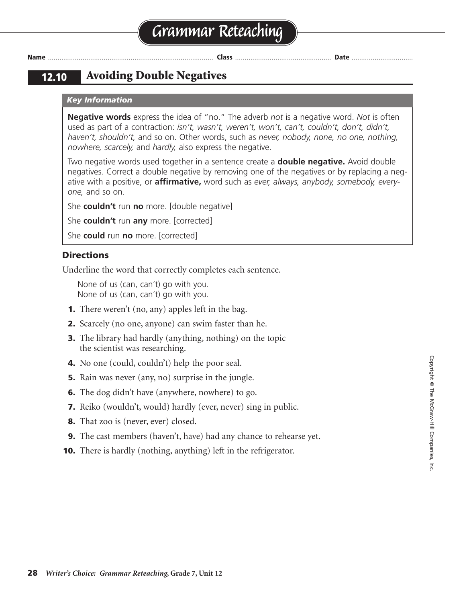### **12.10 Avoiding Double Negatives**

#### *Key Information*

**Negative words** express the idea of "no." The adverb *not* is a negative word. *Not* is often used as part of a contraction: *isn't, wasn't, weren't, won't, can't, couldn't, don't, didn't, haven't, shouldn't,* and so on. Other words, such as *never, nobody, none, no one, nothing, nowhere, scarcely,* and *hardly,* also express the negative.

Two negative words used together in a sentence create a **double negative.** Avoid double negatives. Correct a double negative by removing one of the negatives or by replacing a negative with a positive, or **affirmative,** word such as *ever, always, anybody, somebody, everyone,* and so on.

She **couldn't** run **no** more. [double negative]

She **couldn't** run **any** more. [corrected]

She **could** run **no** more. [corrected]

#### **Directions**

Underline the word that correctly completes each sentence.

None of us (can, can't) go with you. None of us (can, can't) go with you.

- **1.** There weren't (no, any) apples left in the bag.
- **2.** Scarcely (no one, anyone) can swim faster than he.
- **3.** The library had hardly (anything, nothing) on the topic the scientist was researching.
- **4.** No one (could, couldn't) help the poor seal.
- **5.** Rain was never (any, no) surprise in the jungle.
- **6.** The dog didn't have (anywhere, nowhere) to go.
- **7.** Reiko (wouldn't, would) hardly (ever, never) sing in public.
- **8.** That zoo is (never, ever) closed.
- **9.** The cast members (haven't, have) had any chance to rehearse yet.
- **10.** There is hardly (nothing, anything) left in the refrigerator.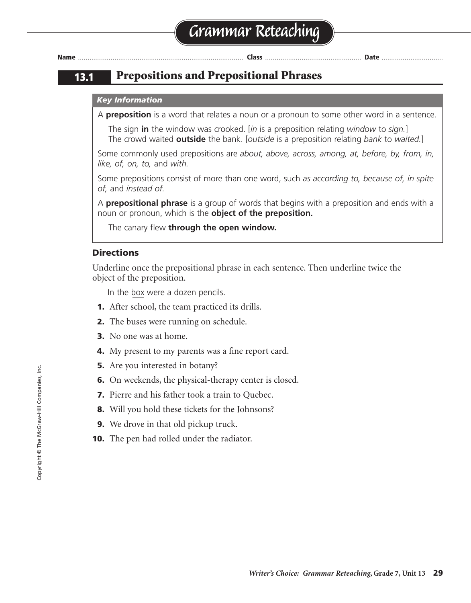### **13.1 Prepositions and Prepositional Phrases**

#### *Key Information*

A **preposition** is a word that relates a noun or a pronoun to some other word in a sentence.

The sign **in** the window was crooked. [*in* is a preposition relating *window* to *sign.*] The crowd waited **outside** the bank. [*outside* is a preposition relating *bank* to *waited.*]

Some commonly used prepositions are *about, above, across, among, at, before, by, from, in, like, of, on, to,* and *with.*

Some prepositions consist of more than one word, such *as according to, because of, in spite of,* and *instead of.*

A **prepositional phrase** is a group of words that begins with a preposition and ends with a noun or pronoun, which is the **object of the preposition.**

The canary flew **through the open window.**

#### **Directions**

Underline once the prepositional phrase in each sentence. Then underline twice the object of the preposition.

In the box were a dozen pencils.

- **1.** After school, the team practiced its drills.
- **2.** The buses were running on schedule.
- **3.** No one was at home.
- **4.** My present to my parents was a fine report card.
- **5.** Are you interested in botany?
- **6.** On weekends, the physical-therapy center is closed.
- **7.** Pierre and his father took a train to Ouebec.
- **8.** Will you hold these tickets for the Johnsons?
- **9.** We drove in that old pickup truck.
- **10.** The pen had rolled under the radiator.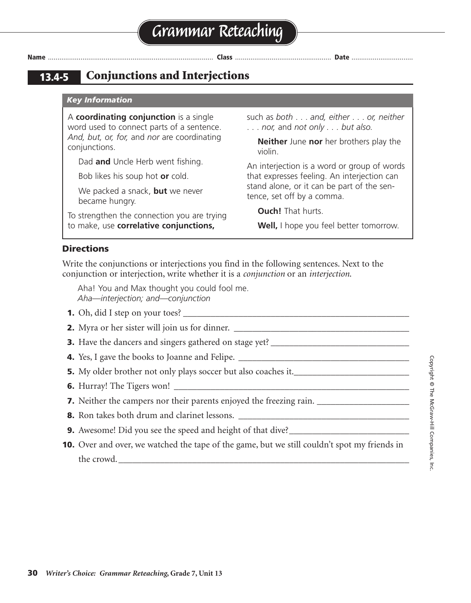| × | ۰. |  |
|---|----|--|

### **13.4-5 Conjunctions and Interjections**

#### *Key Information*

A **coordinating conjunction** is a single word used to connect parts of a sentence. *And, but, or, for,* and *nor* are coordinating conjunctions.

Dad **and** Uncle Herb went fishing.

Bob likes his soup hot **or** cold.

We packed a snack, **but** we never became hungry.

To strengthen the connection you are trying to make, use **correlative conjunctions,**

such as *both* . . . *and, either* . . . *or, neither* . . . *nor,* and *not only . . . but also.*

**Name** ...................................................................................... **Class** .................................................. **Date** ................................

**Neither** June **nor** her brothers play the violin.

An interjection is a word or group of words that expresses feeling. An interjection can stand alone, or it can be part of the sentence, set off by a comma.

**Ouch!** That hurts.

**Well,** I hope you feel better tomorrow.

#### **Directions**

Write the conjunctions or interjections you find in the following sentences. Next to the conjunction or interjection, write whether it is a *conjunction* or an *interjection*.

Aha! You and Max thought you could fool me. *Aha—interjection; and—conjunction*

- **1.** Oh, did I step on your toes?
- **2.** Myra or her sister will join us for dinner.
- **3.** Have the dancers and singers gathered on stage yet? \_\_\_\_\_\_\_\_\_\_\_\_\_\_\_\_\_\_\_\_\_\_\_\_\_\_\_\_\_\_
- **4.** Yes, I gave the books to Joanne and Felipe. \_\_\_\_\_\_\_\_\_\_\_\_\_\_\_\_\_\_\_\_\_\_\_\_\_\_\_\_\_\_\_\_\_\_\_\_\_
- **5.** My older brother not only plays soccer but also coaches it.
- **6.** Hurray! The Tigers won!
- **7.** Neither the campers nor their parents enjoyed the freezing rain. \_\_\_\_\_\_\_\_\_\_\_\_\_\_\_\_\_\_\_\_
- **8.** Ron takes both drum and clarinet lessons.
- **9.** Awesome! Did you see the speed and height of that dive?\_\_\_\_\_\_\_\_\_\_\_\_\_\_\_\_\_\_\_\_\_\_\_\_\_\_
- **10.** Over and over, we watched the tape of the game, but we still couldn't spot my friends in the crowd.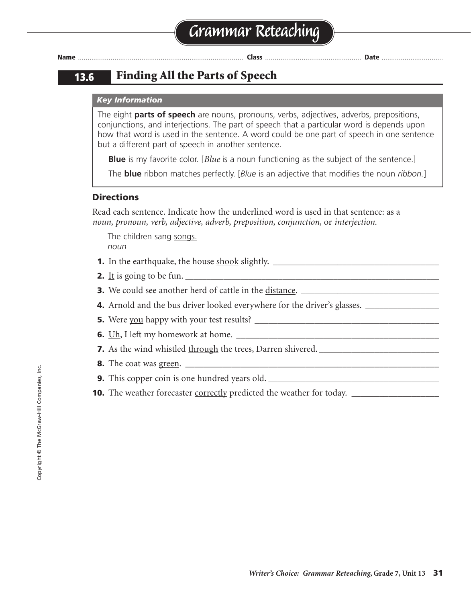### **13.6 Finding All the Parts of Speech**

#### *Key Information*

The eight **parts of speech** are nouns, pronouns, verbs, adjectives, adverbs, prepositions, conjunctions, and interjections. The part of speech that a particular word is depends upon how that word is used in the sentence. A word could be one part of speech in one sentence but a different part of speech in another sentence.

**Blue** is my favorite color. [*Blue* is a noun functioning as the subject of the sentence.]

The **blue** ribbon matches perfectly. [*Blue* is an adjective that modifies the noun *ribbon.*]

#### **Directions**

Read each sentence. Indicate how the underlined word is used in that sentence: as a *noun, pronoun, verb, adjective, adverb, preposition, conjunction,* or *interjection.*

The children sang songs. *noun*

- **1.** In the earthquake, the house shook slightly. \_\_\_\_\_\_\_\_\_\_\_\_\_\_\_\_\_\_\_\_\_\_\_\_\_\_\_\_\_\_\_\_\_\_\_\_
- **2.** It is going to be fun.  $\Box$
- **3.** We could see another herd of cattle in the distance.
- **4.** Arnold and the bus driver looked everywhere for the driver's glasses.
- **5.** Were you happy with your test results? \_\_\_\_\_\_\_\_\_\_\_\_\_\_\_\_\_\_\_\_\_\_\_\_\_\_\_\_\_\_\_\_\_\_\_\_\_\_\_\_
- **6.** Uh, I left my homework at home. \_\_\_\_\_\_\_\_\_\_\_\_\_\_\_\_\_\_\_\_\_\_\_\_\_\_\_\_\_\_\_\_\_\_\_\_\_\_\_\_\_\_\_\_
- **7.** As the wind whistled through the trees, Darren shivered.
- **8.** The coat was green. \_\_\_\_\_\_\_\_\_\_\_\_\_\_\_\_\_\_\_\_\_\_\_\_\_\_\_\_\_\_\_\_\_\_\_\_\_\_\_\_\_\_\_\_\_\_\_\_\_\_\_\_\_\_\_
- **9.** This copper coin is one hundred years old. \_\_\_\_\_\_\_\_\_\_\_\_\_\_\_\_\_\_\_\_\_\_\_\_\_\_\_\_\_\_\_\_\_\_\_\_\_
- **10.** The weather forecaster correctly predicted the weather for today.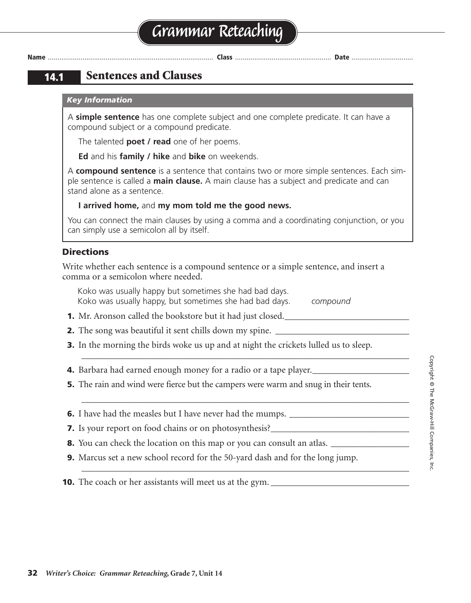### **14.1 Sentences and Clauses**

#### *Key Information*

A **simple sentence** has one complete subject and one complete predicate. It can have a compound subject or a compound predicate.

The talented **poet / read** one of her poems.

**Ed** and his **family / hike** and **bike** on weekends.

A **compound sentence** is a sentence that contains two or more simple sentences. Each simple sentence is called a **main clause.** A main clause has a subject and predicate and can stand alone as a sentence.

#### **I arrived home,** and **my mom told me the good news.**

You can connect the main clauses by using a comma and a coordinating conjunction, or you can simply use a semicolon all by itself.

#### **Directions**

Write whether each sentence is a compound sentence or a simple sentence, and insert a comma or a semicolon where needed.

Koko was usually happy but sometimes she had bad days. Koko was usually happy, but sometimes she had bad days. *compound*

- **1.** Mr. Aronson called the bookstore but it had just closed.
- **2.** The song was beautiful it sent chills down my spine.
- **3.** In the morning the birds woke us up and at night the crickets lulled us to sleep.

\_\_\_\_\_\_\_\_\_\_\_\_\_\_\_\_\_\_\_\_\_\_\_\_\_\_\_\_\_\_\_\_\_\_\_\_\_\_\_\_\_\_\_\_\_\_\_\_\_\_\_\_\_\_\_\_\_\_\_\_\_\_\_\_\_\_\_\_\_\_\_

\_\_\_\_\_\_\_\_\_\_\_\_\_\_\_\_\_\_\_\_\_\_\_\_\_\_\_\_\_\_\_\_\_\_\_\_\_\_\_\_\_\_\_\_\_\_\_\_\_\_\_\_\_\_\_\_\_\_\_\_\_\_\_\_\_\_\_\_\_\_\_

\_\_\_\_\_\_\_\_\_\_\_\_\_\_\_\_\_\_\_\_\_\_\_\_\_\_\_\_\_\_\_\_\_\_\_\_\_\_\_\_\_\_\_\_\_\_\_\_\_\_\_\_\_\_\_\_\_\_\_\_\_\_\_\_\_\_\_\_\_\_\_

- **4.** Barbara had earned enough money for a radio or a tape player.
- **5.** The rain and wind were fierce but the campers were warm and snug in their tents.
- **6.** I have had the measles but I have never had the mumps.
- **7.** Is your report on food chains or on photosynthesis?\_\_\_\_\_\_\_\_\_\_\_\_\_\_\_\_\_\_\_\_\_\_\_\_\_
- **8.** You can check the location on this map or you can consult an atlas.
- **9.** Marcus set a new school record for the 50-yard dash and for the long jump.

**10.** The coach or her assistants will meet us at the gym.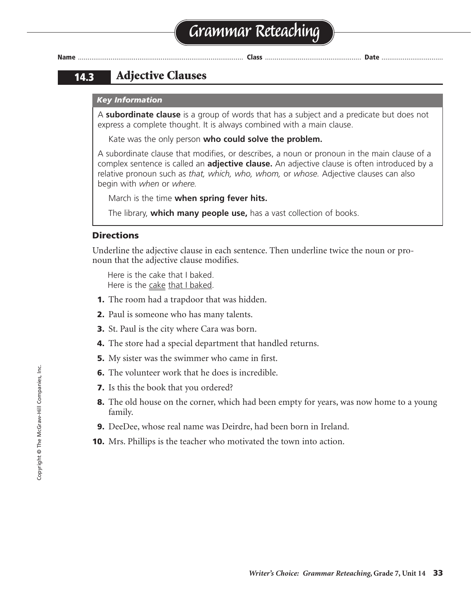### **14.3 Adjective Clauses**

#### *Key Information*

A **subordinate clause** is a group of words that has a subject and a predicate but does not express a complete thought. It is always combined with a main clause.

Kate was the only person **who could solve the problem.**

A subordinate clause that modifies, or describes, a noun or pronoun in the main clause of a complex sentence is called an **adjective clause.** An adjective clause is often introduced by a relative pronoun such as *that, which, who, whom,* or *whose.* Adjective clauses can also begin with *when* or *where.*

March is the time **when spring fever hits.**

The library, **which many people use,** has a vast collection of books.

#### **Directions**

Underline the adjective clause in each sentence. Then underline twice the noun or pronoun that the adjective clause modifies.

Here is the cake that I baked. Here is the cake that I baked.

- **1.** The room had a trapdoor that was hidden.
- **2.** Paul is someone who has many talents.
- **3.** St. Paul is the city where Cara was born.
- **4.** The store had a special department that handled returns.
- **5.** My sister was the swimmer who came in first.
- **6.** The volunteer work that he does is incredible.
- **7.** Is this the book that you ordered?
- **8.** The old house on the corner, which had been empty for years, was now home to a young family.
- **9.** DeeDee, whose real name was Deirdre, had been born in Ireland.
- **10.** Mrs. Phillips is the teacher who motivated the town into action.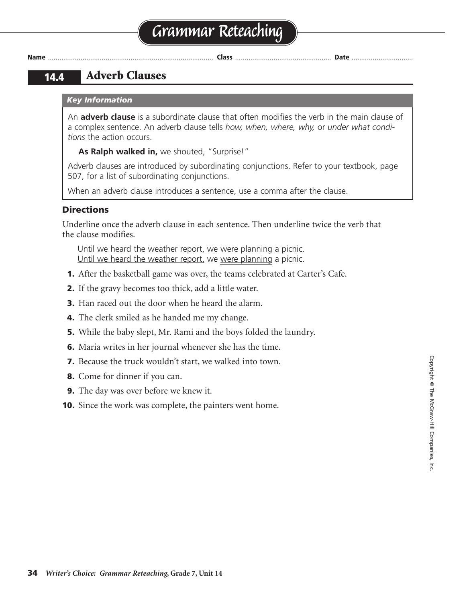# **Grammar Reteaching**

**Name** ...................................................................................... **Class** .................................................. **Date** ................................

### **14.4 Adverb Clauses**

#### *Key Information*

An **adverb clause** is a subordinate clause that often modifies the verb in the main clause of a complex sentence. An adverb clause tells *how, when, where, why,* or *under what conditions* the action occurs.

**As Ralph walked in,** we shouted, "Surprise!"

Adverb clauses are introduced by subordinating conjunctions. Refer to your textbook, page 507, for a list of subordinating conjunctions.

When an adverb clause introduces a sentence, use a comma after the clause.

#### **Directions**

Underline once the adverb clause in each sentence. Then underline twice the verb that the clause modifies.

Until we heard the weather report, we were planning a picnic. Until we heard the weather report, we were planning a picnic.

- **1.** After the basketball game was over, the teams celebrated at Carter's Cafe.
- **2.** If the gravy becomes too thick, add a little water.
- **3.** Han raced out the door when he heard the alarm.
- **4.** The clerk smiled as he handed me my change.
- **5.** While the baby slept, Mr. Rami and the boys folded the laundry.
- **6.** Maria writes in her journal whenever she has the time.
- **7.** Because the truck wouldn't start, we walked into town.
- **8.** Come for dinner if you can.
- **9.** The day was over before we knew it.
- **10.** Since the work was complete, the painters went home.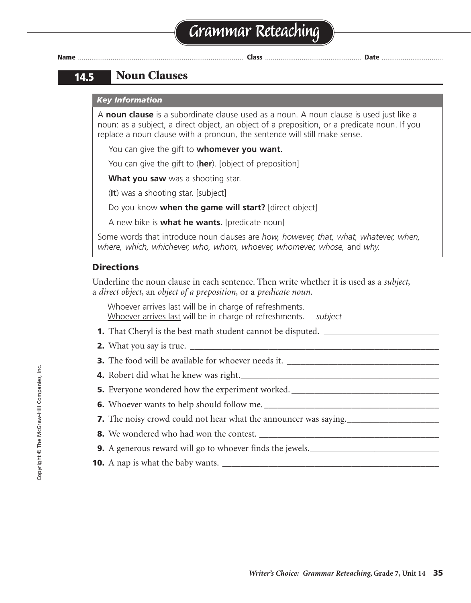**14.5 Noun Clauses**

#### *Key Information*

A **noun clause** is a subordinate clause used as a noun. A noun clause is used just like a noun: as a subject, a direct object, an object of a preposition, or a predicate noun. If you replace a noun clause with a pronoun, the sentence will still make sense.

You can give the gift to **whomever you want.**

You can give the gift to (**her**). [object of preposition]

**What you saw** was a shooting star.

(**It**) was a shooting star. [subject]

Do you know **when the game will start?** [direct object]

A new bike is **what he wants.** [predicate noun]

Some words that introduce noun clauses are *how, however, that, what, whatever, when, where, which, whichever, who, whom, whoever, whomever, whose,* and *why.*

#### **Directions**

Underline the noun clause in each sentence. Then write whether it is used as a *subject,* a *direct object,* an *object of a preposition,* or a *predicate noun.*

Whoever arrives last will be in charge of refreshments. Whoever arrives last will be in charge of refreshments. *subject*

- **1.** That Cheryl is the best math student cannot be disputed. \_\_\_\_\_\_\_\_\_\_\_\_\_\_\_\_\_\_\_\_\_\_\_\_\_
- **2.** What you say is true.
- **3.** The food will be available for whoever needs it.
- **4.** Robert did what he knew was right.
- **5.** Everyone wondered how the experiment worked. \_\_\_\_\_\_\_\_\_\_\_\_\_\_\_\_\_\_\_\_\_\_\_\_\_\_\_\_\_\_\_
- **6.** Whoever wants to help should follow me.
- **7.** The noisy crowd could not hear what the announcer was saying.
- **8.** We wondered who had won the contest.
- **9.** A generous reward will go to whoever finds the jewels.
- **10.** A nap is what the baby wants. \_\_\_\_\_\_\_\_\_\_\_\_\_\_\_\_\_\_\_\_\_\_\_\_\_\_\_\_\_\_\_\_\_\_\_\_\_\_\_\_\_\_\_\_\_\_\_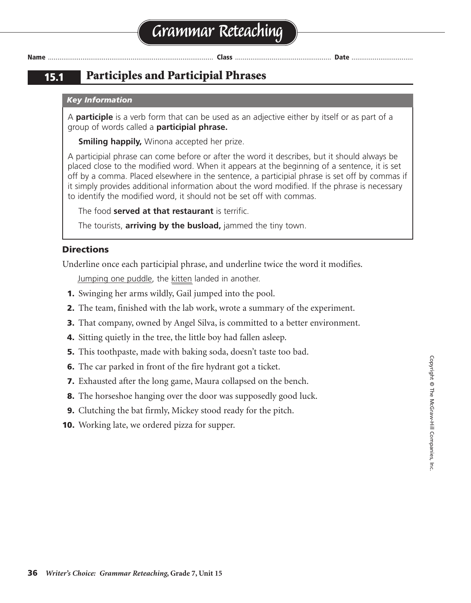### **15.1 Participles and Participial Phrases**

#### *Key Information*

A **participle** is a verb form that can be used as an adjective either by itself or as part of a group of words called a **participial phrase.**

**Smiling happily, Winona accepted her prize.** 

A participial phrase can come before or after the word it describes, but it should always be placed close to the modified word. When it appears at the beginning of a sentence, it is set off by a comma. Placed elsewhere in the sentence, a participial phrase is set off by commas if it simply provides additional information about the word modified. If the phrase is necessary to identify the modified word, it should not be set off with commas.

The food **served at that restaurant** is terrific.

The tourists, **arriving by the busload,** jammed the tiny town.

#### **Directions**

Underline once each participial phrase, and underline twice the word it modifies.

Jumping one puddle, the kitten landed in another.

- **1.** Swinging her arms wildly, Gail jumped into the pool.
- **2.** The team, finished with the lab work, wrote a summary of the experiment.
- **3.** That company, owned by Angel Silva, is committed to a better environment.
- **4.** Sitting quietly in the tree, the little boy had fallen asleep.
- **5.** This toothpaste, made with baking soda, doesn't taste too bad.
- **6.** The car parked in front of the fire hydrant got a ticket.
- **7.** Exhausted after the long game, Maura collapsed on the bench.
- **8.** The horseshoe hanging over the door was supposedly good luck.
- **9.** Clutching the bat firmly, Mickey stood ready for the pitch.
- **10.** Working late, we ordered pizza for supper.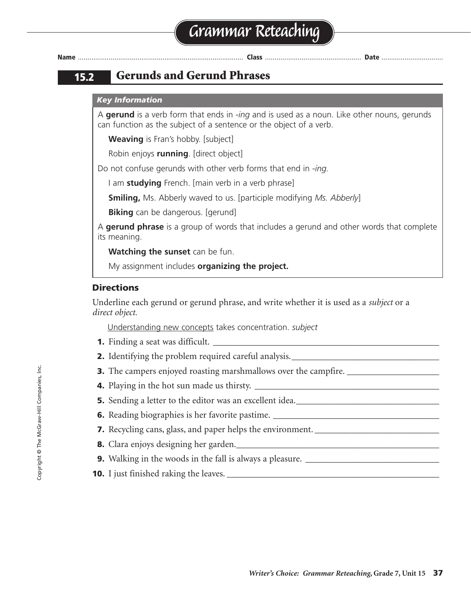# **Grammar Reteaching**

**Name** ...................................................................................... **Class** .................................................. **Date** ................................

### **15.2 Gerunds and Gerund Phrases**

#### *Key Information*

A **gerund** is a verb form that ends in *-ing* and is used as a noun. Like other nouns, gerunds can function as the subject of a sentence or the object of a verb.

**Weaving** is Fran's hobby. [subject]

Robin enjoys **running**. [direct object]

Do not confuse gerunds with other verb forms that end in *-ing.*

I am **studying** French. [main verb in a verb phrase]

**Smiling,** Ms. Abberly waved to us. [participle modifying *Ms. Abberly*]

**Biking** can be dangerous. [gerund]

A **gerund phrase** is a group of words that includes a gerund and other words that complete its meaning.

**Watching the sunset** can be fun.

My assignment includes **organizing the project.**

#### **Directions**

Underline each gerund or gerund phrase, and write whether it is used as a *subject* or a *direct object.*

Understanding new concepts takes concentration. *subject*

- **1.** Finding a seat was difficult.
- **2.** Identifying the problem required careful analysis.
- **3.** The campers enjoyed roasting marshmallows over the campfire.
- **4.** Playing in the hot sun made us thirsty.
- **5.** Sending a letter to the editor was an excellent idea.\_\_\_\_\_\_\_\_\_\_\_\_\_\_\_\_\_\_\_\_\_\_\_\_\_\_\_\_\_
- **6.** Reading biographies is her favorite pastime.
- **7.** Recycling cans, glass, and paper helps the environment.
- **8.** Clara enjoys designing her garden.
- **9.** Walking in the woods in the fall is always a pleasure.
- **10.** I just finished raking the leaves. \_\_\_\_\_\_\_\_\_\_\_\_\_\_\_\_\_\_\_\_\_\_\_\_\_\_\_\_\_\_\_\_\_\_\_\_\_\_\_\_\_\_\_\_\_\_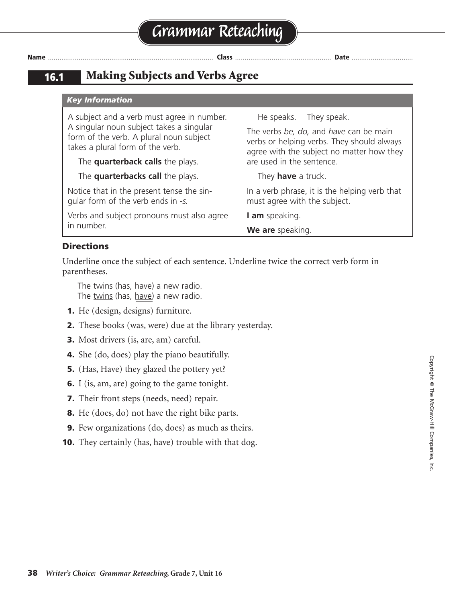**16.1 Making Subjects and Verbs Agree**

#### *Key Information*

A subject and a verb must agree in number. A singular noun subject takes a singular form of the verb. A plural noun subject takes a plural form of the verb.

The **quarterback calls** the plays.

The **quarterbacks call** the plays.

Notice that in the present tense the singular form of the verb ends in *-s.*

Verbs and subject pronouns must also agree in number.

He speaks. They speak.

The verbs *be, do,* and *have* can be main verbs or helping verbs. They should always agree with the subject no matter how they are used in the sentence.

They **have** a truck.

In a verb phrase, it is the helping verb that must agree with the subject.

**I am** speaking.

**We are** speaking.

#### **Directions**

Underline once the subject of each sentence. Underline twice the correct verb form in parentheses.

The twins (has, have) a new radio. The twins (has, have) a new radio.

- **1.** He (design, designs) furniture.
- **2.** These books (was, were) due at the library yesterday.
- **3.** Most drivers (is, are, am) careful.
- **4.** She (do, does) play the piano beautifully.
- **5.** (Has, Have) they glazed the pottery yet?
- **6.** I (is, am, are) going to the game tonight.
- **7.** Their front steps (needs, need) repair.
- **8.** He (does, do) not have the right bike parts.
- **9.** Few organizations (do, does) as much as theirs.
- **10.** They certainly (has, have) trouble with that dog.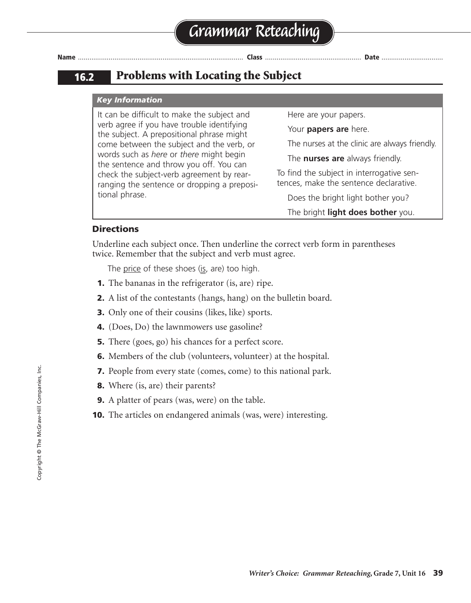### **16.2 Problems with Locating the Subject**

#### *Key Information*

It can be difficult to make the subject and verb agree if you have trouble identifying the subject. A prepositional phrase might come between the subject and the verb, or words such as *here* or *there* might begin the sentence and throw you off. You can check the subject-verb agreement by rearranging the sentence or dropping a prepositional phrase.

Here are your papers.

Your **papers are** here.

The nurses at the clinic are always friendly.

The **nurses are** always friendly.

To find the subject in interrogative sentences, make the sentence declarative.

Does the bright light bother you?

The bright **light does bother** you.

#### **Directions**

Underline each subject once. Then underline the correct verb form in parentheses twice. Remember that the subject and verb must agree.

The price of these shoes (is, are) too high.

- **1.** The bananas in the refrigerator (is, are) ripe.
- **2.** A list of the contestants (hangs, hang) on the bulletin board.
- **3.** Only one of their cousins (likes, like) sports.
- **4.** (Does, Do) the lawnmowers use gasoline?
- **5.** There (goes, go) his chances for a perfect score.
- **6.** Members of the club (volunteers, volunteer) at the hospital.
- **7.** People from every state (comes, come) to this national park.
- **8.** Where (is, are) their parents?
- **9.** A platter of pears (was, were) on the table.
- **10.** The articles on endangered animals (was, were) interesting.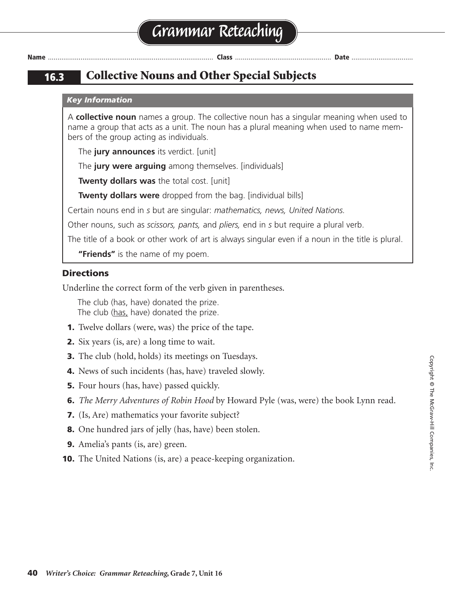**16.3 Collective Nouns and Other Special Subjects**

#### *Key Information*

A **collective noun** names a group. The collective noun has a singular meaning when used to name a group that acts as a unit. The noun has a plural meaning when used to name members of the group acting as individuals.

The **jury announces** its verdict. [unit]

The **jury were arguing** among themselves. [individuals]

**Twenty dollars was** the total cost. [unit]

**Twenty dollars were** dropped from the bag. [individual bills]

Certain nouns end in *s* but are singular: *mathematics, news, United Nations.*

Other nouns, such as *scissors, pants,* and *pliers,* end in *s* but require a plural verb.

The title of a book or other work of art is always singular even if a noun in the title is plural.

**"Friends"** is the name of my poem.

#### **Directions**

Underline the correct form of the verb given in parentheses.

The club (has, have) donated the prize. The club (has, have) donated the prize.

- **1.** Twelve dollars (were, was) the price of the tape.
- **2.** Six years (is, are) a long time to wait.
- **3.** The club (hold, holds) its meetings on Tuesdays.
- **4.** News of such incidents (has, have) traveled slowly.
- **5.** Four hours (has, have) passed quickly.
- **6.** *The Merry Adventures of Robin Hood* by Howard Pyle (was, were) the book Lynn read.
- **7.** (Is, Are) mathematics your favorite subject?
- **8.** One hundred jars of jelly (has, have) been stolen.
- **9.** Amelia's pants (is, are) green.
- **10.** The United Nations (is, are) a peace-keeping organization.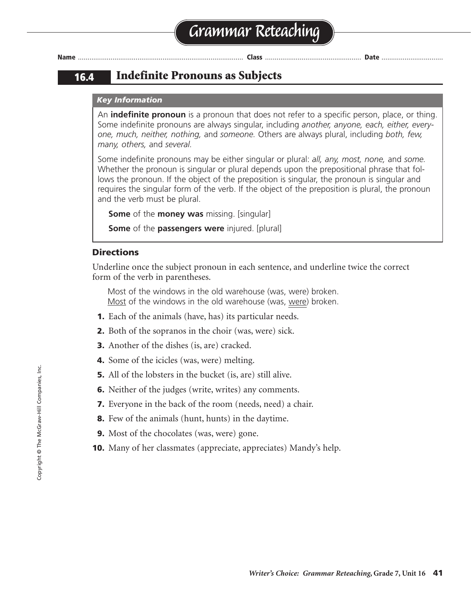### **16.4 Indefinite Pronouns as Subjects**

#### *Key Information*

An **indefinite pronoun** is a pronoun that does not refer to a specific person, place, or thing. Some indefinite pronouns are always singular, including *another, anyone, each, either, everyone, much, neither, nothing,* and *someone.* Others are always plural, including *both, few, many, others,* and *several.*

Some indefinite pronouns may be either singular or plural: *all, any, most, none,* and *some.* Whether the pronoun is singular or plural depends upon the prepositional phrase that follows the pronoun. If the object of the preposition is singular, the pronoun is singular and requires the singular form of the verb. If the object of the preposition is plural, the pronoun and the verb must be plural.

**Some** of the **money was** missing. [singular]

**Some** of the **passengers were** injured. [plural]

#### **Directions**

Underline once the subject pronoun in each sentence, and underline twice the correct form of the verb in parentheses.

Most of the windows in the old warehouse (was, were) broken. Most of the windows in the old warehouse (was, were) broken.

- **1.** Each of the animals (have, has) its particular needs.
- **2.** Both of the sopranos in the choir (was, were) sick.
- **3.** Another of the dishes (is, are) cracked.
- **4.** Some of the icicles (was, were) melting.
- **5.** All of the lobsters in the bucket (is, are) still alive.
- **6.** Neither of the judges (write, writes) any comments.
- **7.** Everyone in the back of the room (needs, need) a chair.
- **8.** Few of the animals (hunt, hunts) in the daytime.
- **9.** Most of the chocolates (was, were) gone.
- **10.** Many of her classmates (appreciate, appreciates) Mandy's help.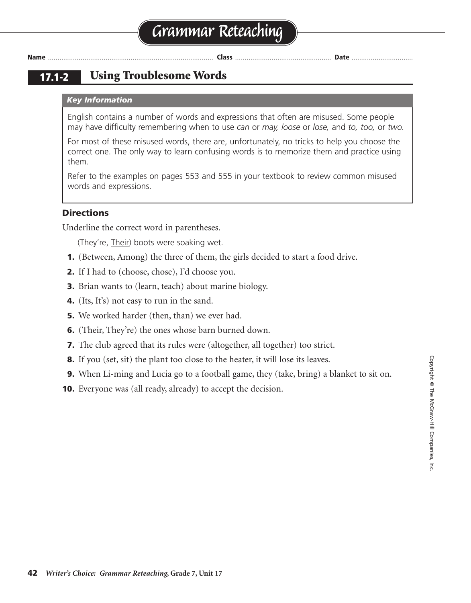#### **Using Troublesome Words 17.1-2**

#### *Key Information*

English contains a number of words and expressions that often are misused. Some people may have difficulty remembering when to use *can* or *may, loose* or *lose,* and *to, too,* or *two.*

For most of these misused words, there are, unfortunately, no tricks to help you choose the correct one. The only way to learn confusing words is to memorize them and practice using them.

Refer to the examples on pages 553 and 555 in your textbook to review common misused words and expressions.

#### **Directions**

Underline the correct word in parentheses.

(They're, Their) boots were soaking wet.

- **1.** (Between, Among) the three of them, the girls decided to start a food drive.
- **2.** If I had to (choose, chose), I'd choose you.
- **3.** Brian wants to (learn, teach) about marine biology.
- **4.** (Its, It's) not easy to run in the sand.
- **5.** We worked harder (then, than) we ever had.
- **6.** (Their, They're) the ones whose barn burned down.
- **7.** The club agreed that its rules were (altogether, all together) too strict.
- **8.** If you (set, sit) the plant too close to the heater, it will lose its leaves.
- **9.** When Li-ming and Lucia go to a football game, they (take, bring) a blanket to sit on.
- **10.** Everyone was (all ready, already) to accept the decision.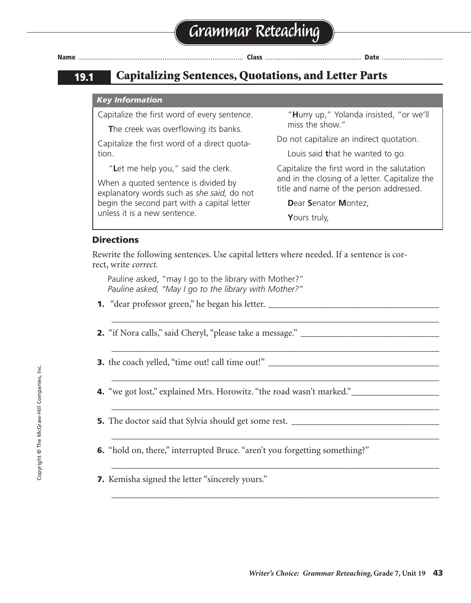### **19.1 Capitalizing Sentences, Quotations, and Letter Parts**

#### *Key Information*

Capitalize the first word of every sentence.

**T**he creek was overflowing its banks.

Capitalize the first word of a direct quotation.

"**L**et me help you," said the clerk.

When a quoted sentence is divided by explanatory words such as *she said,* do not begin the second part with a capital letter unless it is a new sentence.

"**H**urry up," Yolanda insisted, "or we'll miss the show."

Do not capitalize an indirect quotation.

Louis said **t**hat he wanted to go.

Capitalize the first word in the salutation and in the closing of a letter. Capitalize the title and name of the person addressed.

**D**ear **S**enator **M**ontez,

**Y**ours truly,

#### **Directions**

Rewrite the following sentences. Use capital letters where needed. If a sentence is correct, write *correct*.

\_\_\_\_\_\_\_\_\_\_\_\_\_\_\_\_\_\_\_\_\_\_\_\_\_\_\_\_\_\_\_\_\_\_\_\_\_\_\_\_\_\_\_\_\_\_\_\_\_\_\_\_\_\_\_\_\_\_\_\_\_\_\_\_\_\_\_\_\_\_\_

\_\_\_\_\_\_\_\_\_\_\_\_\_\_\_\_\_\_\_\_\_\_\_\_\_\_\_\_\_\_\_\_\_\_\_\_\_\_\_\_\_\_\_\_\_\_\_\_\_\_\_\_\_\_\_\_\_\_\_\_\_\_\_\_\_\_\_\_\_\_\_

\_\_\_\_\_\_\_\_\_\_\_\_\_\_\_\_\_\_\_\_\_\_\_\_\_\_\_\_\_\_\_\_\_\_\_\_\_\_\_\_\_\_\_\_\_\_\_\_\_\_\_\_\_\_\_\_\_\_\_\_\_\_\_\_\_\_\_\_\_\_\_

\_\_\_\_\_\_\_\_\_\_\_\_\_\_\_\_\_\_\_\_\_\_\_\_\_\_\_\_\_\_\_\_\_\_\_\_\_\_\_\_\_\_\_\_\_\_\_\_\_\_\_\_\_\_\_\_\_\_\_\_\_\_\_\_\_\_\_\_\_\_\_

\_\_\_\_\_\_\_\_\_\_\_\_\_\_\_\_\_\_\_\_\_\_\_\_\_\_\_\_\_\_\_\_\_\_\_\_\_\_\_\_\_\_\_\_\_\_\_\_\_\_\_\_\_\_\_\_\_\_\_\_\_\_\_\_\_\_\_\_\_\_\_

\_\_\_\_\_\_\_\_\_\_\_\_\_\_\_\_\_\_\_\_\_\_\_\_\_\_\_\_\_\_\_\_\_\_\_\_\_\_\_\_\_\_\_\_\_\_\_\_\_\_\_\_\_\_\_\_\_\_\_\_\_\_\_\_\_\_\_\_\_\_\_

\_\_\_\_\_\_\_\_\_\_\_\_\_\_\_\_\_\_\_\_\_\_\_\_\_\_\_\_\_\_\_\_\_\_\_\_\_\_\_\_\_\_\_\_\_\_\_\_\_\_\_\_\_\_\_\_\_\_\_\_\_\_\_\_\_\_\_\_\_\_\_

Pauline asked, "may I go to the library with Mother?" *Pauline asked, "May I go to the library with Mother?"*

- **1.** "dear professor green," he began his letter. \_\_\_\_\_\_\_\_\_\_\_\_\_\_\_\_\_\_\_\_\_\_\_\_\_\_\_\_\_\_\_\_\_\_\_\_\_
- **2.** "if Nora calls," said Cheryl, "please take a message."
- **3.** the coach yelled, "time out! call time out!" \_\_\_\_\_\_\_\_\_\_\_\_\_\_\_\_\_\_\_\_\_\_\_\_\_\_\_\_\_\_\_\_\_\_\_\_\_
- **4.** "we got lost," explained Mrs. Horowitz. "the road wasn't marked."
- **5.** The doctor said that Sylvia should get some rest. \_\_\_\_\_\_\_\_\_\_\_\_\_\_\_\_\_\_\_\_\_\_\_\_\_\_\_\_\_\_\_\_
- **6.** "hold on, there," interrupted Bruce. "aren't you forgetting something?"
- **7.** Kemisha signed the letter "sincerely yours."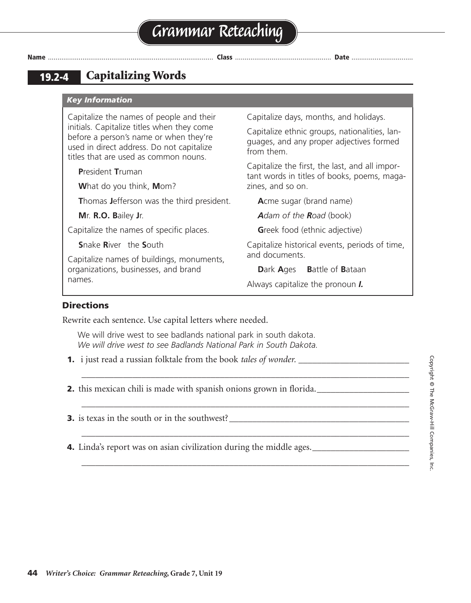### **19.2-4 Capitalizing Words**

#### *Key Information*

Capitalize the names of people and their initials. Capitalize titles when they come before a person's name or when they're used in direct address. Do not capitalize titles that are used as common nouns.

**P**resident **T**ruman

**W**hat do you think, **M**om?

**T**homas **J**efferson was the third president.

**M**r. **R.O. B**ailey **J**r.

Capitalize the names of specific places.

**S**nake **R**iver the **S**outh

Capitalize names of buildings, monuments, organizations, businesses, and brand names.

Capitalize days, months, and holidays.

Capitalize ethnic groups, nationalities, languages, and any proper adjectives formed from them.

Capitalize the first, the last, and all important words in titles of books, poems, magazines, and so on.

**A**cme sugar (brand name)

*Adam of the Road* (book)

**Greek food (ethnic adjective)** 

Capitalize historical events, periods of time, and documents.

**D**ark **A**ges **B**attle of **B**ataan

Always capitalize the pronoun *I.*

#### **Directions**

Rewrite each sentence. Use capital letters where needed.

We will drive west to see badlands national park in south dakota. *We will drive west to see Badlands National Park in South Dakota.*

\_\_\_\_\_\_\_\_\_\_\_\_\_\_\_\_\_\_\_\_\_\_\_\_\_\_\_\_\_\_\_\_\_\_\_\_\_\_\_\_\_\_\_\_\_\_\_\_\_\_\_\_\_\_\_\_\_\_\_\_\_\_\_\_\_\_\_\_\_\_\_

\_\_\_\_\_\_\_\_\_\_\_\_\_\_\_\_\_\_\_\_\_\_\_\_\_\_\_\_\_\_\_\_\_\_\_\_\_\_\_\_\_\_\_\_\_\_\_\_\_\_\_\_\_\_\_\_\_\_\_\_\_\_\_\_\_\_\_\_\_\_\_

\_\_\_\_\_\_\_\_\_\_\_\_\_\_\_\_\_\_\_\_\_\_\_\_\_\_\_\_\_\_\_\_\_\_\_\_\_\_\_\_\_\_\_\_\_\_\_\_\_\_\_\_\_\_\_\_\_\_\_\_\_\_\_\_\_\_\_\_\_\_\_

\_\_\_\_\_\_\_\_\_\_\_\_\_\_\_\_\_\_\_\_\_\_\_\_\_\_\_\_\_\_\_\_\_\_\_\_\_\_\_\_\_\_\_\_\_\_\_\_\_\_\_\_\_\_\_\_\_\_\_\_\_\_\_\_\_\_\_\_\_\_\_

**1.** i just read a russian folktale from the book *tales of wonder*.

**2.** this mexican chili is made with spanish onions grown in florida.

**3.** is texas in the south or in the southwest?

**4.** Linda's report was on asian civilization during the middle ages.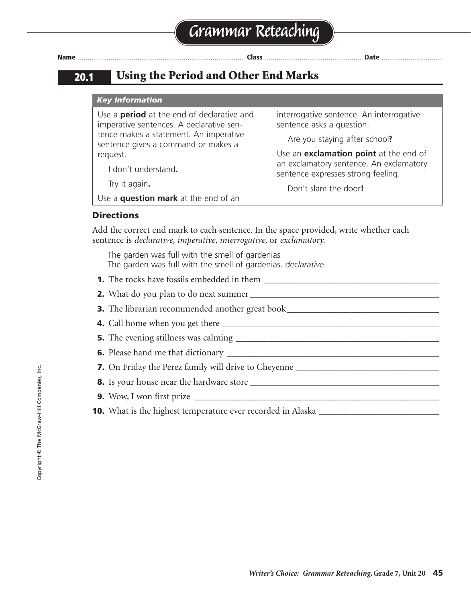### **20.1 Using the Period and Other End Marks**

#### *Key Information*

Use a **period** at the end of declarative and imperative sentences. A declarative sentence makes a statement. An imperative sentence gives a command or makes a request.

I don't understand**.**

Try it again**.**

Use a **question mark** at the end of an

interrogative sentence. An interrogative sentence asks a question.

Are you staying after school**?**

Use an **exclamation point** at the end of an exclamatory sentence. An exclamatory sentence expresses strong feeling.

Don't slam the door**!**

#### **Directions**

Add the correct end mark to each sentence. In the space provided, write whether each sentence is *declarative, imperative, interrogative,* or *exclamatory.*

The garden was full with the smell of gardenias The garden was full with the smell of gardenias. *declarative*

- **1.** The rocks have fossils embedded in them
- **2.** What do you plan to do next summer \_\_\_\_\_\_\_\_\_\_\_\_\_\_\_\_\_\_\_\_\_\_\_\_\_\_\_\_\_\_\_\_\_\_\_\_\_\_\_\_\_

**3.** The librarian recommended another great book\_\_\_\_\_\_\_\_\_\_\_\_\_\_\_\_\_\_\_\_\_\_\_\_\_\_\_\_\_\_\_\_\_

- **4.** Call home when you get there \_\_\_\_\_\_\_\_\_\_\_\_\_\_\_\_\_\_\_\_\_\_\_\_\_\_\_\_\_\_\_\_\_\_\_\_\_\_\_\_\_\_\_\_\_\_\_
- **5.** The evening stillness was calming \_\_\_\_\_\_\_\_\_\_\_\_\_\_\_\_\_\_\_\_\_\_\_\_\_\_\_\_\_\_\_\_\_\_\_\_\_\_\_\_\_\_\_\_
- **6.** Please hand me that dictionary \_\_\_\_\_\_\_\_\_\_\_\_\_\_\_\_\_\_\_\_\_\_\_\_\_\_\_\_\_\_\_\_\_\_\_\_\_\_\_\_\_\_\_\_\_\_

**7.** On Friday the Perez family will drive to Cheyenne \_\_\_\_\_\_\_\_\_\_\_\_\_\_\_\_\_\_\_\_\_\_\_\_\_\_\_\_\_\_\_

**8.** Is your house near the hardware store \_\_\_\_\_\_\_\_\_\_\_\_\_\_\_\_\_\_\_\_\_\_\_\_\_\_\_\_\_\_\_\_\_\_\_\_\_\_\_\_\_

- **9.** Wow, I won first prize \_\_\_\_\_\_\_\_\_\_\_\_\_\_\_\_\_\_\_\_\_\_\_\_\_\_\_\_\_\_\_\_\_\_\_\_\_\_\_\_\_\_\_\_\_\_\_\_\_\_\_\_\_
- **10.** What is the highest temperature ever recorded in Alaska \_\_\_\_\_\_\_\_\_\_\_\_\_\_\_\_\_\_\_\_\_\_\_\_\_\_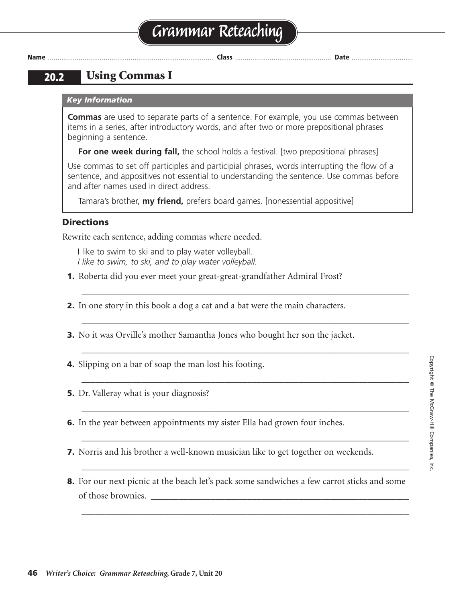# **Grammar Reteaching**

**Name** ...................................................................................... **Class** .................................................. **Date** ................................

### **20.2 Using Commas I**

#### *Key Information*

**Commas** are used to separate parts of a sentence. For example, you use commas between items in a series, after introductory words, and after two or more prepositional phrases beginning a sentence.

**For one week during fall,** the school holds a festival. [two prepositional phrases]

Use commas to set off participles and participial phrases, words interrupting the flow of a sentence, and appositives not essential to understanding the sentence. Use commas before and after names used in direct address.

\_\_\_\_\_\_\_\_\_\_\_\_\_\_\_\_\_\_\_\_\_\_\_\_\_\_\_\_\_\_\_\_\_\_\_\_\_\_\_\_\_\_\_\_\_\_\_\_\_\_\_\_\_\_\_\_\_\_\_\_\_\_\_\_\_\_\_\_\_\_\_

\_\_\_\_\_\_\_\_\_\_\_\_\_\_\_\_\_\_\_\_\_\_\_\_\_\_\_\_\_\_\_\_\_\_\_\_\_\_\_\_\_\_\_\_\_\_\_\_\_\_\_\_\_\_\_\_\_\_\_\_\_\_\_\_\_\_\_\_\_\_\_

\_\_\_\_\_\_\_\_\_\_\_\_\_\_\_\_\_\_\_\_\_\_\_\_\_\_\_\_\_\_\_\_\_\_\_\_\_\_\_\_\_\_\_\_\_\_\_\_\_\_\_\_\_\_\_\_\_\_\_\_\_\_\_\_\_\_\_\_\_\_\_

\_\_\_\_\_\_\_\_\_\_\_\_\_\_\_\_\_\_\_\_\_\_\_\_\_\_\_\_\_\_\_\_\_\_\_\_\_\_\_\_\_\_\_\_\_\_\_\_\_\_\_\_\_\_\_\_\_\_\_\_\_\_\_\_\_\_\_\_\_\_\_

\_\_\_\_\_\_\_\_\_\_\_\_\_\_\_\_\_\_\_\_\_\_\_\_\_\_\_\_\_\_\_\_\_\_\_\_\_\_\_\_\_\_\_\_\_\_\_\_\_\_\_\_\_\_\_\_\_\_\_\_\_\_\_\_\_\_\_\_\_\_\_

\_\_\_\_\_\_\_\_\_\_\_\_\_\_\_\_\_\_\_\_\_\_\_\_\_\_\_\_\_\_\_\_\_\_\_\_\_\_\_\_\_\_\_\_\_\_\_\_\_\_\_\_\_\_\_\_\_\_\_\_\_\_\_\_\_\_\_\_\_\_\_

\_\_\_\_\_\_\_\_\_\_\_\_\_\_\_\_\_\_\_\_\_\_\_\_\_\_\_\_\_\_\_\_\_\_\_\_\_\_\_\_\_\_\_\_\_\_\_\_\_\_\_\_\_\_\_\_\_\_\_\_\_\_\_\_\_\_\_\_\_\_\_

\_\_\_\_\_\_\_\_\_\_\_\_\_\_\_\_\_\_\_\_\_\_\_\_\_\_\_\_\_\_\_\_\_\_\_\_\_\_\_\_\_\_\_\_\_\_\_\_\_\_\_\_\_\_\_\_\_\_\_\_\_\_\_\_\_\_\_\_\_\_\_

Tamara's brother, **my friend,** prefers board games. [nonessential appositive]

#### **Directions**

Rewrite each sentence, adding commas where needed.

I like to swim to ski and to play water volleyball. *I like to swim, to ski, and to play water volleyball.*

- 
- **1.** Roberta did you ever meet your great-great-grandfather Admiral Frost?
- **2.** In one story in this book a dog a cat and a bat were the main characters.
- **3.** No it was Orville's mother Samantha Jones who bought her son the jacket.
- **4.** Slipping on a bar of soap the man lost his footing.
- **5.** Dr. Valleray what is your diagnosis?
- **6.** In the year between appointments my sister Ella had grown four inches.
- **7.** Norris and his brother a well-known musician like to get together on weekends.
- **8.** For our next picnic at the beach let's pack some sandwiches a few carrot sticks and some of those brownies.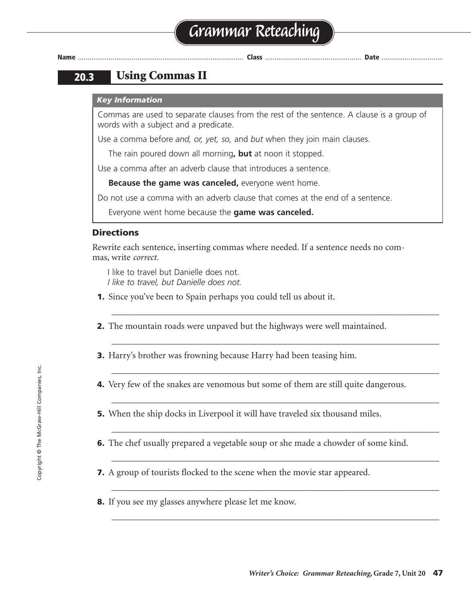### **20.3 Using Commas II**

#### *Key Information*

Commas are used to separate clauses from the rest of the sentence. A clause is a group of words with a subject and a predicate.

Use a comma before *and, or, yet, so,* and *but* when they join main clauses.

The rain poured down all morning**, but** at noon it stopped.

Use a comma after an adverb clause that introduces a sentence.

**Because the game was canceled,** everyone went home.

Do not use a comma with an adverb clause that comes at the end of a sentence.

Everyone went home because the **game was canceled.**

#### **Directions**

Rewrite each sentence, inserting commas where needed. If a sentence needs no commas, write *correct.*

I like to travel but Danielle does not. *I like to travel, but Danielle does not.*

- **1.** Since you've been to Spain perhaps you could tell us about it.
- **2.** The mountain roads were unpaved but the highways were well maintained.

\_\_\_\_\_\_\_\_\_\_\_\_\_\_\_\_\_\_\_\_\_\_\_\_\_\_\_\_\_\_\_\_\_\_\_\_\_\_\_\_\_\_\_\_\_\_\_\_\_\_\_\_\_\_\_\_\_\_\_\_\_\_\_\_\_\_\_\_\_\_\_

\_\_\_\_\_\_\_\_\_\_\_\_\_\_\_\_\_\_\_\_\_\_\_\_\_\_\_\_\_\_\_\_\_\_\_\_\_\_\_\_\_\_\_\_\_\_\_\_\_\_\_\_\_\_\_\_\_\_\_\_\_\_\_\_\_\_\_\_\_\_\_

\_\_\_\_\_\_\_\_\_\_\_\_\_\_\_\_\_\_\_\_\_\_\_\_\_\_\_\_\_\_\_\_\_\_\_\_\_\_\_\_\_\_\_\_\_\_\_\_\_\_\_\_\_\_\_\_\_\_\_\_\_\_\_\_\_\_\_\_\_\_\_

\_\_\_\_\_\_\_\_\_\_\_\_\_\_\_\_\_\_\_\_\_\_\_\_\_\_\_\_\_\_\_\_\_\_\_\_\_\_\_\_\_\_\_\_\_\_\_\_\_\_\_\_\_\_\_\_\_\_\_\_\_\_\_\_\_\_\_\_\_\_\_

\_\_\_\_\_\_\_\_\_\_\_\_\_\_\_\_\_\_\_\_\_\_\_\_\_\_\_\_\_\_\_\_\_\_\_\_\_\_\_\_\_\_\_\_\_\_\_\_\_\_\_\_\_\_\_\_\_\_\_\_\_\_\_\_\_\_\_\_\_\_\_

\_\_\_\_\_\_\_\_\_\_\_\_\_\_\_\_\_\_\_\_\_\_\_\_\_\_\_\_\_\_\_\_\_\_\_\_\_\_\_\_\_\_\_\_\_\_\_\_\_\_\_\_\_\_\_\_\_\_\_\_\_\_\_\_\_\_\_\_\_\_\_

\_\_\_\_\_\_\_\_\_\_\_\_\_\_\_\_\_\_\_\_\_\_\_\_\_\_\_\_\_\_\_\_\_\_\_\_\_\_\_\_\_\_\_\_\_\_\_\_\_\_\_\_\_\_\_\_\_\_\_\_\_\_\_\_\_\_\_\_\_\_\_

\_\_\_\_\_\_\_\_\_\_\_\_\_\_\_\_\_\_\_\_\_\_\_\_\_\_\_\_\_\_\_\_\_\_\_\_\_\_\_\_\_\_\_\_\_\_\_\_\_\_\_\_\_\_\_\_\_\_\_\_\_\_\_\_\_\_\_\_\_\_\_

- **3.** Harry's brother was frowning because Harry had been teasing him.
- **4.** Very few of the snakes are venomous but some of them are still quite dangerous.
- **5.** When the ship docks in Liverpool it will have traveled six thousand miles.
- **6.** The chef usually prepared a vegetable soup or she made a chowder of some kind.
- **7.** A group of tourists flocked to the scene when the movie star appeared.
- **8.** If you see my glasses anywhere please let me know.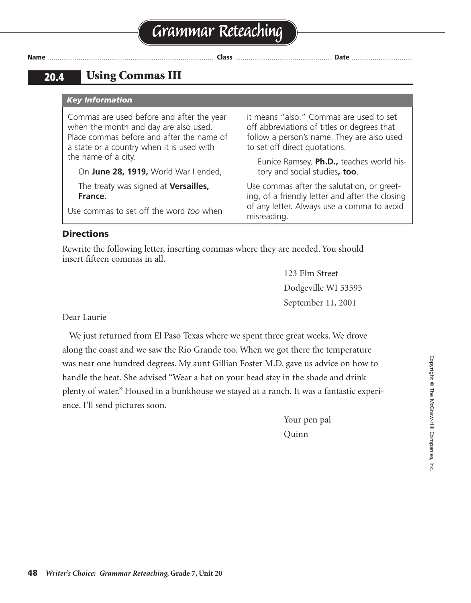it means "also." Commas are used to set off abbreviations of titles or degrees that follow a person's name. They are also used

Eunice Ramsey, **Ph.D.,** teaches world his-

Use commas after the salutation, or greeting, of a friendly letter and after the closing of any letter. Always use a comma to avoid

to set off direct quotations.

misreading.

tory and social studies**, too**.

### **20.4 Using Commas III**

#### *Key Information*

Commas are used before and after the year when the month and day are also used. Place commas before and after the name of a state or a country when it is used with the name of a city.

On **June 28, 1919,** World War I ended,

The treaty was signed at **Versailles, France.**

Use commas to set off the word *too* when

**Directions** 

Rewrite the following letter, inserting commas where they are needed. You should insert fifteen commas in all.

> 123 Elm Street Dodgeville WI 53595 September 11, 2001

Dear Laurie

We just returned from El Paso Texas where we spent three great weeks. We drove along the coast and we saw the Rio Grande too. When we got there the temperature was near one hundred degrees. My aunt Gillian Foster M.D. gave us advice on how to handle the heat. She advised "Wear a hat on your head stay in the shade and drink plenty of water." Housed in a bunkhouse we stayed at a ranch. It was a fantastic experience. I'll send pictures soon.

> Your pen pal Quinn

**Name** ...................................................................................... **Class** .................................................. **Date** ................................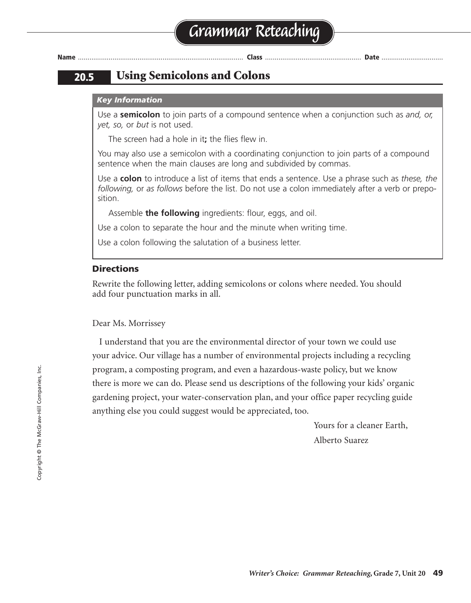### **20.5 Using Semicolons and Colons**

#### *Key Information*

Use a **semicolon** to join parts of a compound sentence when a conjunction such as *and, or, yet, so,* or *but* is not used.

The screen had a hole in it**;** the flies flew in.

You may also use a semicolon with a coordinating conjunction to join parts of a compound sentence when the main clauses are long and subdivided by commas.

Use a **colon** to introduce a list of items that ends a sentence. Use a phrase such as *these, the following,* or *as follows* before the list. Do not use a colon immediately after a verb or preposition.

Assemble **the following** ingredients: flour, eggs, and oil.

Use a colon to separate the hour and the minute when writing time.

Use a colon following the salutation of a business letter.

#### **Directions**

Rewrite the following letter, adding semicolons or colons where needed. You should add four punctuation marks in all.

#### Dear Ms. Morrissey

I understand that you are the environmental director of your town we could use your advice. Our village has a number of environmental projects including a recycling program, a composting program, and even a hazardous-waste policy, but we know there is more we can do. Please send us descriptions of the following your kids' organic gardening project, your water-conservation plan, and your office paper recycling guide anything else you could suggest would be appreciated, too.

> Yours for a cleaner Earth, Alberto Suarez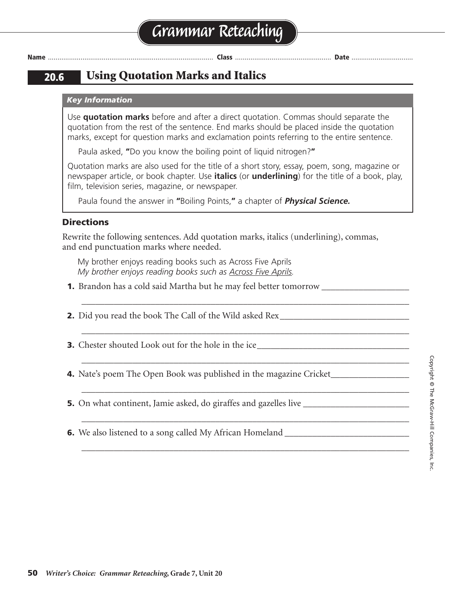**20.6 Using Quotation Marks and Italics**

#### *Key Information*

Use **quotation marks** before and after a direct quotation. Commas should separate the quotation from the rest of the sentence. End marks should be placed inside the quotation marks, except for question marks and exclamation points referring to the entire sentence.

Paula asked, **"**Do you know the boiling point of liquid nitrogen?**"**

Quotation marks are also used for the title of a short story, essay, poem, song, magazine or newspaper article, or book chapter. Use **italics** (or **underlining**) for the title of a book, play, film, television series, magazine, or newspaper.

\_\_\_\_\_\_\_\_\_\_\_\_\_\_\_\_\_\_\_\_\_\_\_\_\_\_\_\_\_\_\_\_\_\_\_\_\_\_\_\_\_\_\_\_\_\_\_\_\_\_\_\_\_\_\_\_\_\_\_\_\_\_\_\_\_\_\_\_\_\_\_

\_\_\_\_\_\_\_\_\_\_\_\_\_\_\_\_\_\_\_\_\_\_\_\_\_\_\_\_\_\_\_\_\_\_\_\_\_\_\_\_\_\_\_\_\_\_\_\_\_\_\_\_\_\_\_\_\_\_\_\_\_\_\_\_\_\_\_\_\_\_\_

\_\_\_\_\_\_\_\_\_\_\_\_\_\_\_\_\_\_\_\_\_\_\_\_\_\_\_\_\_\_\_\_\_\_\_\_\_\_\_\_\_\_\_\_\_\_\_\_\_\_\_\_\_\_\_\_\_\_\_\_\_\_\_\_\_\_\_\_\_\_\_

\_\_\_\_\_\_\_\_\_\_\_\_\_\_\_\_\_\_\_\_\_\_\_\_\_\_\_\_\_\_\_\_\_\_\_\_\_\_\_\_\_\_\_\_\_\_\_\_\_\_\_\_\_\_\_\_\_\_\_\_\_\_\_\_\_\_\_\_\_\_\_

\_\_\_\_\_\_\_\_\_\_\_\_\_\_\_\_\_\_\_\_\_\_\_\_\_\_\_\_\_\_\_\_\_\_\_\_\_\_\_\_\_\_\_\_\_\_\_\_\_\_\_\_\_\_\_\_\_\_\_\_\_\_\_\_\_\_\_\_\_\_\_

\_\_\_\_\_\_\_\_\_\_\_\_\_\_\_\_\_\_\_\_\_\_\_\_\_\_\_\_\_\_\_\_\_\_\_\_\_\_\_\_\_\_\_\_\_\_\_\_\_\_\_\_\_\_\_\_\_\_\_\_\_\_\_\_\_\_\_\_\_\_\_

Paula found the answer in **"**Boiling Points,**"** a chapter of *Physical Science.*

#### **Directions**

Rewrite the following sentences. Add quotation marks, italics (underlining), commas, and end punctuation marks where needed.

My brother enjoys reading books such as Across Five Aprils *My brother enjoys reading books such as Across Five Aprils.*

- **1.** Brandon has a cold said Martha but he may feel better tomorrow
- **2.** Did you read the book The Call of the Wild asked Rex\_\_\_\_\_\_\_\_\_\_\_\_\_\_\_\_\_\_\_\_\_\_\_\_
- **3.** Chester shouted Look out for the hole in the ice
- **4.** Nate's poem The Open Book was published in the magazine Cricket\_\_\_\_\_\_\_\_\_\_\_\_\_\_\_\_\_
- **5.** On what continent, Jamie asked, do giraffes and gazelles live \_\_\_\_\_\_\_\_\_\_\_\_\_\_\_\_\_\_\_\_\_\_\_

**6.** We also listened to a song called My African Homeland \_\_\_\_\_\_\_\_\_\_\_\_\_\_\_\_\_\_\_\_\_\_\_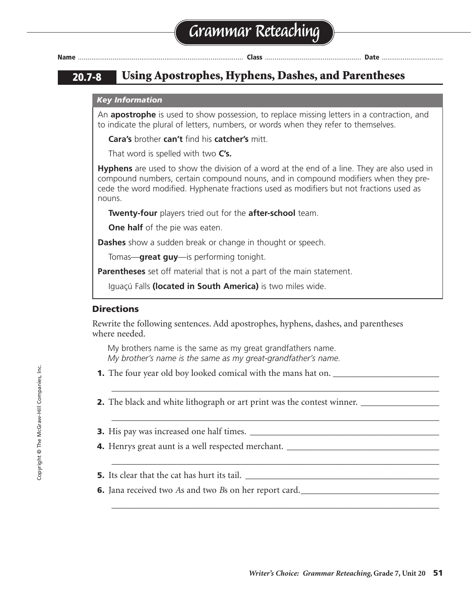| Name |  |  |  | . |  |
|------|--|--|--|---|--|
|      |  |  |  |   |  |

### **20.7-8 Using Apostrophes, Hyphens, Dashes, and Parentheses**

#### *Key Information*

An **apostrophe** is used to show possession, to replace missing letters in a contraction, and to indicate the plural of letters, numbers, or words when they refer to themselves.

**Cara's** brother **can't** find his **catcher's** mitt.

That word is spelled with two **C's.**

**Hyphens** are used to show the division of a word at the end of a line. They are also used in compound numbers, certain compound nouns, and in compound modifiers when they precede the word modified. Hyphenate fractions used as modifiers but not fractions used as nouns.

**Twenty-four** players tried out for the **after-school** team.

**One half** of the pie was eaten.

**Dashes** show a sudden break or change in thought or speech.

Tomas—**great guy**—is performing tonight.

**Parentheses** set off material that is not a part of the main statement.

Iguaçú Falls **(located in South America)** is two miles wide.

#### **Directions**

Rewrite the following sentences. Add apostrophes, hyphens, dashes, and parentheses where needed.

\_\_\_\_\_\_\_\_\_\_\_\_\_\_\_\_\_\_\_\_\_\_\_\_\_\_\_\_\_\_\_\_\_\_\_\_\_\_\_\_\_\_\_\_\_\_\_\_\_\_\_\_\_\_\_\_\_\_\_\_\_\_\_\_\_\_\_\_\_\_\_

\_\_\_\_\_\_\_\_\_\_\_\_\_\_\_\_\_\_\_\_\_\_\_\_\_\_\_\_\_\_\_\_\_\_\_\_\_\_\_\_\_\_\_\_\_\_\_\_\_\_\_\_\_\_\_\_\_\_\_\_\_\_\_\_\_\_\_\_\_\_\_

\_\_\_\_\_\_\_\_\_\_\_\_\_\_\_\_\_\_\_\_\_\_\_\_\_\_\_\_\_\_\_\_\_\_\_\_\_\_\_\_\_\_\_\_\_\_\_\_\_\_\_\_\_\_\_\_\_\_\_\_\_\_\_\_\_\_\_\_\_\_\_

\_\_\_\_\_\_\_\_\_\_\_\_\_\_\_\_\_\_\_\_\_\_\_\_\_\_\_\_\_\_\_\_\_\_\_\_\_\_\_\_\_\_\_\_\_\_\_\_\_\_\_\_\_\_\_\_\_\_\_\_\_\_\_\_\_\_\_\_\_\_\_

My brothers name is the same as my great grandfathers name. *My brother's name is the same as my great-grandfather's name.*

- **1.** The four year old boy looked comical with the mans hat on.
- **2.** The black and white lithograph or art print was the contest winner. \_\_\_\_\_\_\_\_\_\_\_\_
- **3.** His pay was increased one half times.
- **4.** Henrys great aunt is a well respected merchant. \_\_\_\_\_\_\_\_\_\_\_\_\_\_\_\_\_\_\_\_\_\_\_\_\_\_\_\_
- **5.** Its clear that the cat has hurt its tail.
- **6.** Jana received two *A*s and two *B*s on her report card.\_\_\_\_\_\_\_\_\_\_\_\_\_\_\_\_\_\_\_\_\_\_\_\_\_\_\_\_\_\_